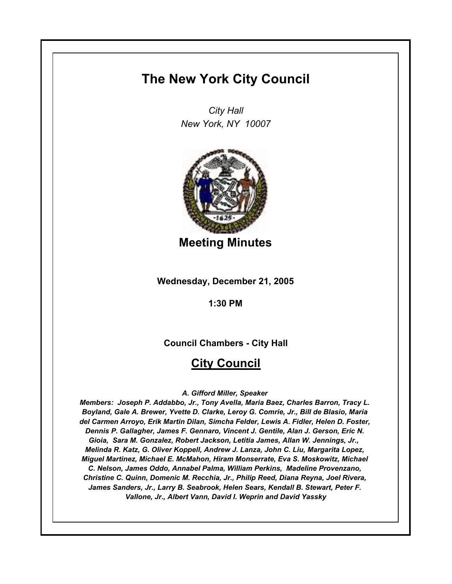# **The New York City Council**

*City Hall New York, NY 10007*



**Meeting Minutes**

**Wednesday, December 21, 2005**

**1:30 PM**

**Council Chambers - City Hall**

# **City Council**

### *A. Gifford Miller, Speaker*

*Members: Joseph P. Addabbo, Jr., Tony Avella, Maria Baez, Charles Barron, Tracy L. Boyland, Gale A. Brewer, Yvette D. Clarke, Leroy G. Comrie, Jr., Bill de Blasio, Maria del Carmen Arroyo, Erik Martin Dilan, Simcha Felder, Lewis A. Fidler, Helen D. Foster, Dennis P. Gallagher, James F. Gennaro, Vincent J. Gentile, Alan J. Gerson, Eric N. Gioia, Sara M. Gonzalez, Robert Jackson, Letitia James, Allan W. Jennings, Jr., Melinda R. Katz, G. Oliver Koppell, Andrew J. Lanza, John C. Liu, Margarita Lopez, Miguel Martinez, Michael E. McMahon, Hiram Monserrate, Eva S. Moskowitz, Michael C. Nelson, James Oddo, Annabel Palma, William Perkins, Madeline Provenzano, Christine C. Quinn, Domenic M. Recchia, Jr., Philip Reed, Diana Reyna, Joel Rivera, James Sanders, Jr., Larry B. Seabrook, Helen Sears, Kendall B. Stewart, Peter F. Vallone, Jr., Albert Vann, David I. Weprin and David Yassky*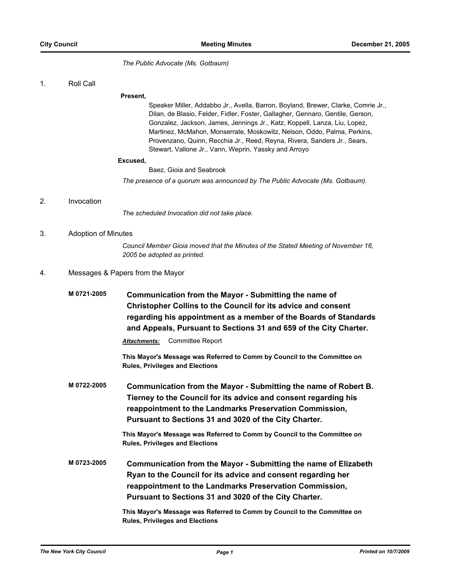*The Public Advocate (Ms. Gotbaum)*

1. Roll Call

### **Present,**

Speaker Miller, Addabbo Jr., Avella, Barron, Boyland, Brewer, Clarke, Comrie Jr., Dilan, de Blasio, Felder, Fidler, Foster, Gallagher, Gennaro, Gentile, Gerson, Gonzalez, Jackson, James, Jennings Jr., Katz, Koppell, Lanza, Liu, Lopez, Martinez, McMahon, Monserrate, Moskowitz, Nelson, Oddo, Palma, Perkins, Provenzano, Quinn, Recchia Jr., Reed, Reyna, Rivera, Sanders Jr., Sears, Stewart, Vallone Jr., Vann, Weprin, Yassky and Arroyo

### **Excused,**

Baez, Gioia and Seabrook

*The presence of a quorum was announced by The Public Advocate (Ms. Gotbaum).*

### 2. Invocation

*The scheduled Invocation did not take place.*

### 3. Adoption of Minutes

*Council Member Gioia moved that the Minutes of the Stated Meeting of November 16, 2005 be adopted as printed.*

### 4. Messages & Papers from the Mayor

| M 0721-2005 | Communication from the Mayor - Submitting the name of<br><b>Christopher Collins to the Council for its advice and consent</b><br>regarding his appointment as a member of the Boards of Standards<br>and Appeals, Pursuant to Sections 31 and 659 of the City Charter. |
|-------------|------------------------------------------------------------------------------------------------------------------------------------------------------------------------------------------------------------------------------------------------------------------------|
|             | Committee Report<br><b>Attachments:</b>                                                                                                                                                                                                                                |
|             | This Mayor's Message was Referred to Comm by Council to the Committee on<br><b>Rules, Privileges and Elections</b>                                                                                                                                                     |
| M 0722-2005 | Communication from the Mayor - Submitting the name of Robert B.<br>Tierney to the Council for its advice and consent regarding his<br>reappointment to the Landmarks Preservation Commission,<br>Pursuant to Sections 31 and 3020 of the City Charter.                 |
|             | This Mayor's Message was Referred to Comm by Council to the Committee on<br><b>Rules, Privileges and Elections</b>                                                                                                                                                     |
| M 0723-2005 | Communication from the Mayor - Submitting the name of Elizabeth<br>Ryan to the Council for its advice and consent regarding her<br>reappointment to the Landmarks Preservation Commission,<br>Pursuant to Sections 31 and 3020 of the City Charter.                    |
|             | This Mayor's Message was Referred to Comm by Council to the Committee on<br><b>Rules, Privileges and Elections</b>                                                                                                                                                     |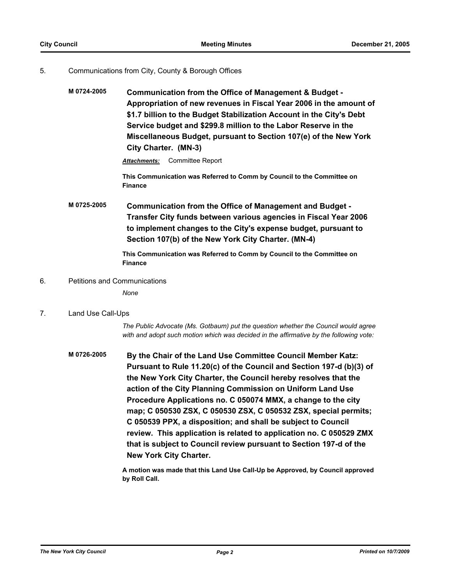### 5. Communications from City, County & Borough Offices

**M 0724-2005 Communication from the Office of Management & Budget - Appropriation of new revenues in Fiscal Year 2006 in the amount of \$1.7 billion to the Budget Stabilization Account in the City's Debt Service budget and \$299.8 million to the Labor Reserve in the Miscellaneous Budget, pursuant to Section 107(e) of the New York City Charter. (MN-3)**

*Attachments:* Committee Report

**This Communication was Referred to Comm by Council to the Committee on Finance**

**M 0725-2005 Communication from the Office of Management and Budget - Transfer City funds between various agencies in Fiscal Year 2006 to implement changes to the City's expense budget, pursuant to Section 107(b) of the New York City Charter. (MN-4)**

> **This Communication was Referred to Comm by Council to the Committee on Finance**

### 6. Petitions and Communications

*None*

### 7. Land Use Call-Ups

*The Public Advocate (Ms. Gotbaum) put the question whether the Council would agree with and adopt such motion which was decided in the affirmative by the following vote:*

**M 0726-2005 By the Chair of the Land Use Committee Council Member Katz: Pursuant to Rule 11.20(c) of the Council and Section 197-d (b)(3) of the New York City Charter, the Council hereby resolves that the action of the City Planning Commission on Uniform Land Use Procedure Applications no. C 050074 MMX, a change to the city map; C 050530 ZSX, C 050530 ZSX, C 050532 ZSX, special permits; C 050539 PPX, a disposition; and shall be subject to Council review. This application is related to application no. C 050529 ZMX that is subject to Council review pursuant to Section 197-d of the New York City Charter.**

> **A motion was made that this Land Use Call-Up be Approved, by Council approved by Roll Call.**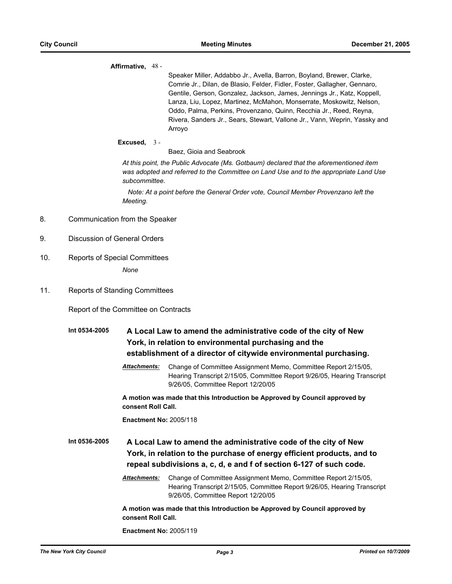### **Affirmative,** 48 -

Speaker Miller, Addabbo Jr., Avella, Barron, Boyland, Brewer, Clarke, Comrie Jr., Dilan, de Blasio, Felder, Fidler, Foster, Gallagher, Gennaro, Gentile, Gerson, Gonzalez, Jackson, James, Jennings Jr., Katz, Koppell, Lanza, Liu, Lopez, Martinez, McMahon, Monserrate, Moskowitz, Nelson, Oddo, Palma, Perkins, Provenzano, Quinn, Recchia Jr., Reed, Reyna, Rivera, Sanders Jr., Sears, Stewart, Vallone Jr., Vann, Weprin, Yassky and Arroyo

### **Excused,** 3 -

Baez, Gioia and Seabrook

*At this point, the Public Advocate (Ms. Gotbaum) declared that the aforementioned item was adopted and referred to the Committee on Land Use and to the appropriate Land Use subcommittee.*

 *Note: At a point before the General Order vote, Council Member Provenzano left the Meeting.*

- 8. Communication from the Speaker
- 9. Discussion of General Orders
- 10. Reports of Special Committees *None*
- 11. Reports of Standing Committees

Report of the Committee on Contracts

# **Int 0534-2005 A Local Law to amend the administrative code of the city of New York, in relation to environmental purchasing and the establishment of a director of citywide environmental purchasing.**

*Attachments:* Change of Committee Assignment Memo, Committee Report 2/15/05, Hearing Transcript 2/15/05, Committee Report 9/26/05, Hearing Transcript 9/26/05, Committee Report 12/20/05

**A motion was made that this Introduction be Approved by Council approved by consent Roll Call.**

**Enactment No:** 2005/118

**Int 0536-2005 A Local Law to amend the administrative code of the city of New York, in relation to the purchase of energy efficient products, and to repeal subdivisions a, c, d, e and f of section 6-127 of such code.**

> *Attachments:* Change of Committee Assignment Memo, Committee Report 2/15/05, Hearing Transcript 2/15/05, Committee Report 9/26/05, Hearing Transcript 9/26/05, Committee Report 12/20/05

**A motion was made that this Introduction be Approved by Council approved by consent Roll Call.**

**Enactment No:** 2005/119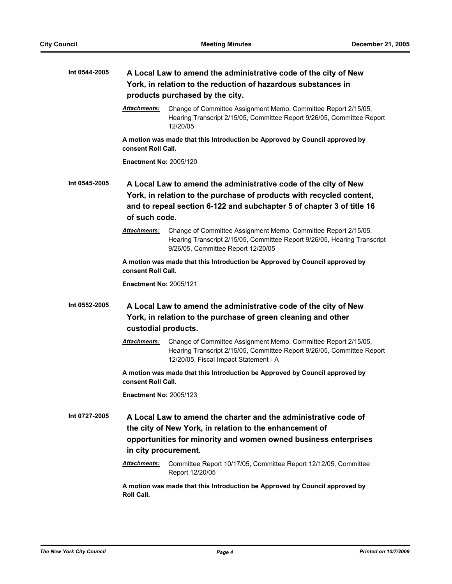| Int 0544-2005 |                                                                                                   | A Local Law to amend the administrative code of the city of New<br>York, in relation to the reduction of hazardous substances in<br>products purchased by the city.                                              |  |
|---------------|---------------------------------------------------------------------------------------------------|------------------------------------------------------------------------------------------------------------------------------------------------------------------------------------------------------------------|--|
|               | Attachments:                                                                                      | Change of Committee Assignment Memo, Committee Report 2/15/05,<br>Hearing Transcript 2/15/05, Committee Report 9/26/05, Committee Report<br>12/20/05                                                             |  |
|               | consent Roll Call.                                                                                | A motion was made that this Introduction be Approved by Council approved by                                                                                                                                      |  |
|               | <b>Enactment No: 2005/120</b>                                                                     |                                                                                                                                                                                                                  |  |
| Int 0545-2005 | of such code.                                                                                     | A Local Law to amend the administrative code of the city of New<br>York, in relation to the purchase of products with recycled content,<br>and to repeal section 6-122 and subchapter 5 of chapter 3 of title 16 |  |
|               | Attachments:                                                                                      | Change of Committee Assignment Memo, Committee Report 2/15/05,<br>Hearing Transcript 2/15/05, Committee Report 9/26/05, Hearing Transcript<br>9/26/05, Committee Report 12/20/05                                 |  |
|               | consent Roll Call.                                                                                | A motion was made that this Introduction be Approved by Council approved by                                                                                                                                      |  |
|               | <b>Enactment No: 2005/121</b>                                                                     |                                                                                                                                                                                                                  |  |
| Int 0552-2005 | custodial products.                                                                               | A Local Law to amend the administrative code of the city of New<br>York, in relation to the purchase of green cleaning and other                                                                                 |  |
|               | Attachments:                                                                                      | Change of Committee Assignment Memo, Committee Report 2/15/05,<br>Hearing Transcript 2/15/05, Committee Report 9/26/05, Committee Report<br>12/20/05, Fiscal Impact Statement - A                                |  |
|               | A motion was made that this Introduction be Approved by Council approved by<br>consent Roll Call. |                                                                                                                                                                                                                  |  |
|               | <b>Enactment No: 2005/123</b>                                                                     |                                                                                                                                                                                                                  |  |
| Int 0727-2005 | in city procurement.                                                                              | A Local Law to amend the charter and the administrative code of<br>the city of New York, in relation to the enhancement of<br>opportunities for minority and women owned business enterprises                    |  |
|               | Attachments:                                                                                      | Committee Report 10/17/05, Committee Report 12/12/05, Committee<br>Report 12/20/05                                                                                                                               |  |
|               | Roll Call.                                                                                        | A motion was made that this Introduction be Approved by Council approved by                                                                                                                                      |  |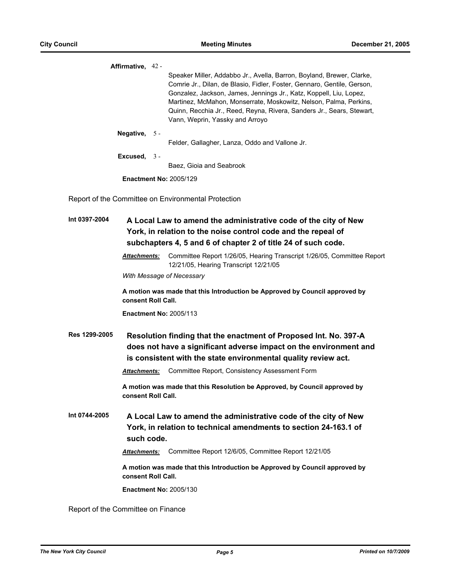|                                    | Affirmative, 42 -   | Speaker Miller, Addabbo Jr., Avella, Barron, Boyland, Brewer, Clarke,<br>Comrie Jr., Dilan, de Blasio, Fidler, Foster, Gennaro, Gentile, Gerson,<br>Gonzalez, Jackson, James, Jennings Jr., Katz, Koppell, Liu, Lopez,<br>Martinez, McMahon, Monserrate, Moskowitz, Nelson, Palma, Perkins,<br>Quinn, Recchia Jr., Reed, Reyna, Rivera, Sanders Jr., Sears, Stewart,<br>Vann, Weprin, Yassky and Arroyo |
|------------------------------------|---------------------|---------------------------------------------------------------------------------------------------------------------------------------------------------------------------------------------------------------------------------------------------------------------------------------------------------------------------------------------------------------------------------------------------------|
|                                    | Negative, 5 -       | Felder, Gallagher, Lanza, Oddo and Vallone Jr.                                                                                                                                                                                                                                                                                                                                                          |
|                                    | Excused, $3 -$      | Baez, Gioia and Seabrook                                                                                                                                                                                                                                                                                                                                                                                |
|                                    |                     | <b>Enactment No: 2005/129</b>                                                                                                                                                                                                                                                                                                                                                                           |
|                                    |                     | Report of the Committee on Environmental Protection                                                                                                                                                                                                                                                                                                                                                     |
| Int 0397-2004                      |                     | A Local Law to amend the administrative code of the city of New<br>York, in relation to the noise control code and the repeal of<br>subchapters 4, 5 and 6 of chapter 2 of title 24 of such code.                                                                                                                                                                                                       |
|                                    | <b>Attachments:</b> | Committee Report 1/26/05, Hearing Transcript 1/26/05, Committee Report<br>12/21/05, Hearing Transcript 12/21/05                                                                                                                                                                                                                                                                                         |
|                                    |                     | With Message of Necessary                                                                                                                                                                                                                                                                                                                                                                               |
|                                    | consent Roll Call.  | A motion was made that this Introduction be Approved by Council approved by                                                                                                                                                                                                                                                                                                                             |
|                                    |                     | <b>Enactment No: 2005/113</b>                                                                                                                                                                                                                                                                                                                                                                           |
| Res 1299-2005                      | Attachments:        | Resolution finding that the enactment of Proposed Int. No. 397-A<br>does not have a significant adverse impact on the environment and<br>is consistent with the state environmental quality review act.<br>Committee Report, Consistency Assessment Form                                                                                                                                                |
|                                    | consent Roll Call.  | A motion was made that this Resolution be Approved, by Council approved by                                                                                                                                                                                                                                                                                                                              |
| Int 0744-2005                      | such code.          | A Local Law to amend the administrative code of the city of New<br>York, in relation to technical amendments to section 24-163.1 of                                                                                                                                                                                                                                                                     |
|                                    | <b>Attachments:</b> | Committee Report 12/6/05, Committee Report 12/21/05                                                                                                                                                                                                                                                                                                                                                     |
|                                    | consent Roll Call.  | A motion was made that this Introduction be Approved by Council approved by                                                                                                                                                                                                                                                                                                                             |
|                                    |                     | <b>Enactment No: 2005/130</b>                                                                                                                                                                                                                                                                                                                                                                           |
| Report of the Committee on Finance |                     |                                                                                                                                                                                                                                                                                                                                                                                                         |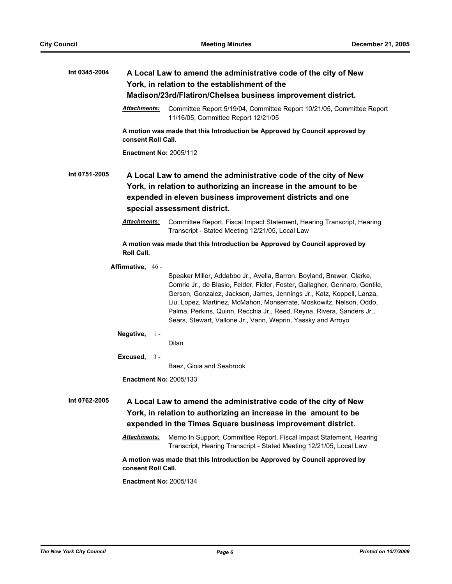| Int 0345-2004 |                               | A Local Law to amend the administrative code of the city of New                                                                                                                                                                                                                                                                                                                                                                               |
|---------------|-------------------------------|-----------------------------------------------------------------------------------------------------------------------------------------------------------------------------------------------------------------------------------------------------------------------------------------------------------------------------------------------------------------------------------------------------------------------------------------------|
|               |                               | York, in relation to the establishment of the<br>Madison/23rd/Flatiron/Chelsea business improvement district.                                                                                                                                                                                                                                                                                                                                 |
|               |                               |                                                                                                                                                                                                                                                                                                                                                                                                                                               |
|               | Attachments:                  | Committee Report 5/19/04, Committee Report 10/21/05, Committee Report<br>11/16/05, Committee Report 12/21/05                                                                                                                                                                                                                                                                                                                                  |
|               | consent Roll Call.            | A motion was made that this Introduction be Approved by Council approved by                                                                                                                                                                                                                                                                                                                                                                   |
|               | <b>Enactment No: 2005/112</b> |                                                                                                                                                                                                                                                                                                                                                                                                                                               |
| Int 0751-2005 |                               | A Local Law to amend the administrative code of the city of New                                                                                                                                                                                                                                                                                                                                                                               |
|               |                               | York, in relation to authorizing an increase in the amount to be                                                                                                                                                                                                                                                                                                                                                                              |
|               |                               | expended in eleven business improvement districts and one                                                                                                                                                                                                                                                                                                                                                                                     |
|               |                               | special assessment district.                                                                                                                                                                                                                                                                                                                                                                                                                  |
|               | <b>Attachments:</b>           | Committee Report, Fiscal Impact Statement, Hearing Transcript, Hearing<br>Transcript - Stated Meeting 12/21/05, Local Law                                                                                                                                                                                                                                                                                                                     |
|               | Roll Call.                    | A motion was made that this Introduction be Approved by Council approved by                                                                                                                                                                                                                                                                                                                                                                   |
|               | Affirmative, 46 -             |                                                                                                                                                                                                                                                                                                                                                                                                                                               |
|               |                               | Speaker Miller, Addabbo Jr., Avella, Barron, Boyland, Brewer, Clarke,<br>Comrie Jr., de Blasio, Felder, Fidler, Foster, Gallagher, Gennaro, Gentile,<br>Gerson, Gonzalez, Jackson, James, Jennings Jr., Katz, Koppell, Lanza,<br>Liu, Lopez, Martinez, McMahon, Monserrate, Moskowitz, Nelson, Oddo,<br>Palma, Perkins, Quinn, Recchia Jr., Reed, Reyna, Rivera, Sanders Jr.,<br>Sears, Stewart, Vallone Jr., Vann, Weprin, Yassky and Arroyo |
|               | Negative, $1 -$               | Dilan                                                                                                                                                                                                                                                                                                                                                                                                                                         |
|               |                               |                                                                                                                                                                                                                                                                                                                                                                                                                                               |
|               | Excused, $3 -$                |                                                                                                                                                                                                                                                                                                                                                                                                                                               |
|               |                               | Baez, Gioia and Seabrook                                                                                                                                                                                                                                                                                                                                                                                                                      |
|               | <b>Enactment No: 2005/133</b> |                                                                                                                                                                                                                                                                                                                                                                                                                                               |
| Int 0762-2005 |                               | A Local Law to amend the administrative code of the city of New<br>York, in relation to authorizing an increase in the amount to be<br>expended in the Times Square business improvement district.                                                                                                                                                                                                                                            |
|               | Attachments:                  | Memo In Support, Committee Report, Fiscal Impact Statement, Hearing<br>Transcript, Hearing Transcript - Stated Meeting 12/21/05, Local Law                                                                                                                                                                                                                                                                                                    |
|               | consent Roll Call.            | A motion was made that this Introduction be Approved by Council approved by                                                                                                                                                                                                                                                                                                                                                                   |
|               | <b>Enactment No: 2005/134</b> |                                                                                                                                                                                                                                                                                                                                                                                                                                               |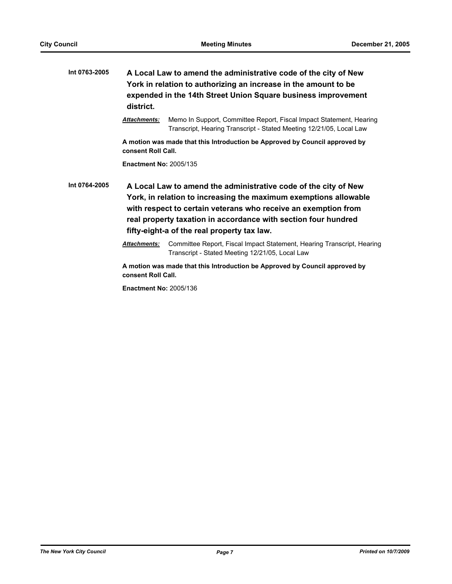| Int 0763-2005 | A Local Law to amend the administrative code of the city of New<br>York in relation to authorizing an increase in the amount to be<br>expended in the 14th Street Union Square business improvement<br>district.                                                                                                       |                                                                                                                                            |  |
|---------------|------------------------------------------------------------------------------------------------------------------------------------------------------------------------------------------------------------------------------------------------------------------------------------------------------------------------|--------------------------------------------------------------------------------------------------------------------------------------------|--|
|               | <b>Attachments:</b>                                                                                                                                                                                                                                                                                                    | Memo In Support, Committee Report, Fiscal Impact Statement, Hearing<br>Transcript, Hearing Transcript - Stated Meeting 12/21/05, Local Law |  |
|               | consent Roll Call.                                                                                                                                                                                                                                                                                                     | A motion was made that this Introduction be Approved by Council approved by                                                                |  |
|               | <b>Enactment No: 2005/135</b>                                                                                                                                                                                                                                                                                          |                                                                                                                                            |  |
| Int 0764-2005 | A Local Law to amend the administrative code of the city of New<br>York, in relation to increasing the maximum exemptions allowable<br>with respect to certain veterans who receive an exemption from<br>real property taxation in accordance with section four hundred<br>fifty-eight-a of the real property tax law. |                                                                                                                                            |  |
|               | <b>Attachments:</b>                                                                                                                                                                                                                                                                                                    | Committee Report, Fiscal Impact Statement, Hearing Transcript, Hearing<br>Transcript - Stated Meeting 12/21/05, Local Law                  |  |
|               | A motion was made that this Introduction be Approved by Council approved by                                                                                                                                                                                                                                            |                                                                                                                                            |  |

**Enactment No:** 2005/136

**consent Roll Call.**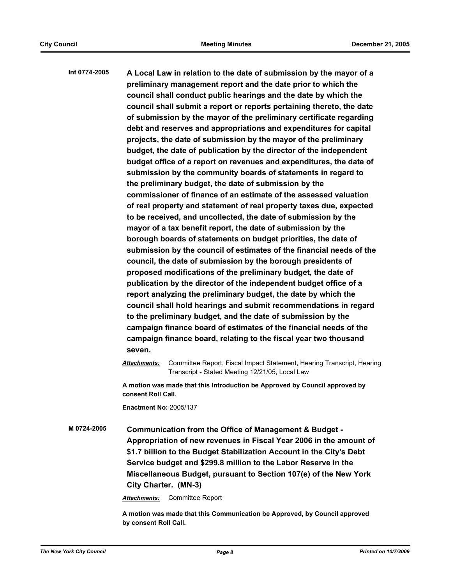| Int 0774-2005 | A Local Law in relation to the date of submission by the mayor of a<br>preliminary management report and the date prior to which the<br>council shall conduct public hearings and the date by which the<br>council shall submit a report or reports pertaining thereto, the date<br>of submission by the mayor of the preliminary certificate regarding<br>debt and reserves and appropriations and expenditures for capital<br>projects, the date of submission by the mayor of the preliminary<br>budget, the date of publication by the director of the independent<br>budget office of a report on revenues and expenditures, the date of<br>submission by the community boards of statements in regard to<br>the preliminary budget, the date of submission by the<br>commissioner of finance of an estimate of the assessed valuation<br>of real property and statement of real property taxes due, expected<br>to be received, and uncollected, the date of submission by the<br>mayor of a tax benefit report, the date of submission by the<br>borough boards of statements on budget priorities, the date of<br>submission by the council of estimates of the financial needs of the<br>council, the date of submission by the borough presidents of<br>proposed modifications of the preliminary budget, the date of<br>publication by the director of the independent budget office of a<br>report analyzing the preliminary budget, the date by which the<br>council shall hold hearings and submit recommendations in regard<br>to the preliminary budget, and the date of submission by the<br>campaign finance board of estimates of the financial needs of the<br>campaign finance board, relating to the fiscal year two thousand<br>seven. |  |  |
|---------------|---------------------------------------------------------------------------------------------------------------------------------------------------------------------------------------------------------------------------------------------------------------------------------------------------------------------------------------------------------------------------------------------------------------------------------------------------------------------------------------------------------------------------------------------------------------------------------------------------------------------------------------------------------------------------------------------------------------------------------------------------------------------------------------------------------------------------------------------------------------------------------------------------------------------------------------------------------------------------------------------------------------------------------------------------------------------------------------------------------------------------------------------------------------------------------------------------------------------------------------------------------------------------------------------------------------------------------------------------------------------------------------------------------------------------------------------------------------------------------------------------------------------------------------------------------------------------------------------------------------------------------------------------------------------------------------------------------------------------------------------------------------|--|--|
|               | <b>Attachments:</b><br>Committee Report, Fiscal Impact Statement, Hearing Transcript, Hearing<br>Transcript - Stated Meeting 12/21/05, Local Law                                                                                                                                                                                                                                                                                                                                                                                                                                                                                                                                                                                                                                                                                                                                                                                                                                                                                                                                                                                                                                                                                                                                                                                                                                                                                                                                                                                                                                                                                                                                                                                                              |  |  |
|               | A motion was made that this Introduction be Approved by Council approved by<br>consent Roll Call.                                                                                                                                                                                                                                                                                                                                                                                                                                                                                                                                                                                                                                                                                                                                                                                                                                                                                                                                                                                                                                                                                                                                                                                                                                                                                                                                                                                                                                                                                                                                                                                                                                                             |  |  |
|               | <b>Enactment No: 2005/137</b>                                                                                                                                                                                                                                                                                                                                                                                                                                                                                                                                                                                                                                                                                                                                                                                                                                                                                                                                                                                                                                                                                                                                                                                                                                                                                                                                                                                                                                                                                                                                                                                                                                                                                                                                 |  |  |
| M 0724-2005   | Communication from the Office of Management & Budget -<br>Appropriation of new revenues in Fiscal Year 2006 in the amount of<br>\$1.7 billion to the Budget Stabilization Account in the City's Debt<br>Service budget and \$299.8 million to the Labor Reserve in the                                                                                                                                                                                                                                                                                                                                                                                                                                                                                                                                                                                                                                                                                                                                                                                                                                                                                                                                                                                                                                                                                                                                                                                                                                                                                                                                                                                                                                                                                        |  |  |

**City Charter. (MN-3)**

*Attachments:* Committee Report

**A motion was made that this Communication be Approved, by Council approved by consent Roll Call.**

**Miscellaneous Budget, pursuant to Section 107(e) of the New York**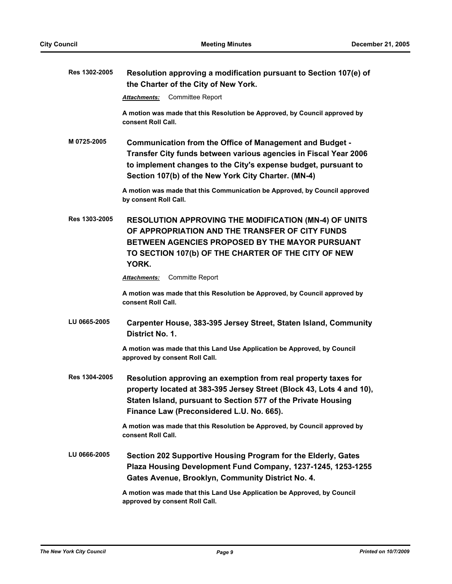| Res 1302-2005 | Resolution approving a modification pursuant to Section 107(e) of<br>the Charter of the City of New York.                                                                                                                                             |
|---------------|-------------------------------------------------------------------------------------------------------------------------------------------------------------------------------------------------------------------------------------------------------|
|               | <b>Committee Report</b><br><b>Attachments:</b>                                                                                                                                                                                                        |
|               | A motion was made that this Resolution be Approved, by Council approved by<br>consent Roll Call.                                                                                                                                                      |
| M 0725-2005   | Communication from the Office of Management and Budget -<br>Transfer City funds between various agencies in Fiscal Year 2006<br>to implement changes to the City's expense budget, pursuant to<br>Section 107(b) of the New York City Charter. (MN-4) |
|               | A motion was made that this Communication be Approved, by Council approved<br>by consent Roll Call.                                                                                                                                                   |
| Res 1303-2005 | <b>RESOLUTION APPROVING THE MODIFICATION (MN-4) OF UNITS</b><br>OF APPROPRIATION AND THE TRANSFER OF CITY FUNDS<br><b>BETWEEN AGENCIES PROPOSED BY THE MAYOR PURSUANT</b><br>TO SECTION 107(b) OF THE CHARTER OF THE CITY OF NEW<br>YORK.             |
|               | <b>Committe Report</b><br><b>Attachments:</b>                                                                                                                                                                                                         |
|               | A motion was made that this Resolution be Approved, by Council approved by<br>consent Roll Call.                                                                                                                                                      |
| LU 0665-2005  | Carpenter House, 383-395 Jersey Street, Staten Island, Community<br>District No. 1.                                                                                                                                                                   |
|               | A motion was made that this Land Use Application be Approved, by Council<br>approved by consent Roll Call.                                                                                                                                            |
| Res 1304-2005 | Resolution approving an exemption from real property taxes for<br>property located at 383-395 Jersey Street (Block 43, Lots 4 and 10),<br>Staten Island, pursuant to Section 577 of the Private Housing<br>Finance Law (Preconsidered L.U. No. 665).  |
|               | A motion was made that this Resolution be Approved, by Council approved by<br>consent Roll Call.                                                                                                                                                      |
| LU 0666-2005  | Section 202 Supportive Housing Program for the Elderly, Gates<br>Plaza Housing Development Fund Company, 1237-1245, 1253-1255<br>Gates Avenue, Brooklyn, Community District No. 4.                                                                    |
|               | A motion was made that this Land Use Application be Approved, by Council<br>approved by consent Roll Call.                                                                                                                                            |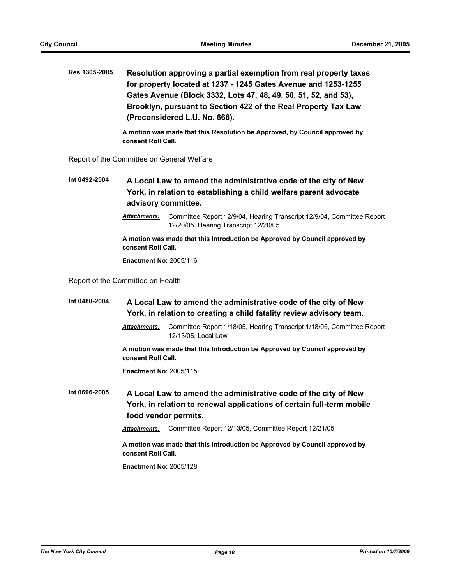**Res 1305-2005 Resolution approving a partial exemption from real property taxes for property located at 1237 - 1245 Gates Avenue and 1253-1255 Gates Avenue (Block 3332, Lots 47, 48, 49, 50, 51, 52, and 53), Brooklyn, pursuant to Section 422 of the Real Property Tax Law (Preconsidered L.U. No. 666).**

> **A motion was made that this Resolution be Approved, by Council approved by consent Roll Call.**

Report of the Committee on General Welfare

**Int 0492-2004 A Local Law to amend the administrative code of the city of New York, in relation to establishing a child welfare parent advocate advisory committee.**

> *Attachments:* Committee Report 12/9/04, Hearing Transcript 12/9/04, Committee Report 12/20/05, Hearing Transcript 12/20/05

**A motion was made that this Introduction be Approved by Council approved by consent Roll Call.**

**Enactment No:** 2005/116

Report of the Committee on Health

**Int 0480-2004 A Local Law to amend the administrative code of the city of New York, in relation to creating a child fatality review advisory team.**

> *Attachments:* Committee Report 1/18/05, Hearing Transcript 1/18/05, Committee Report 12/13/05, Local Law

**A motion was made that this Introduction be Approved by Council approved by consent Roll Call.**

**Enactment No:** 2005/115

**Int 0696-2005 A Local Law to amend the administrative code of the city of New York, in relation to renewal applications of certain full-term mobile food vendor permits.**

*Attachments:* Committee Report 12/13/05, Committee Report 12/21/05

**A motion was made that this Introduction be Approved by Council approved by consent Roll Call.**

**Enactment No:** 2005/128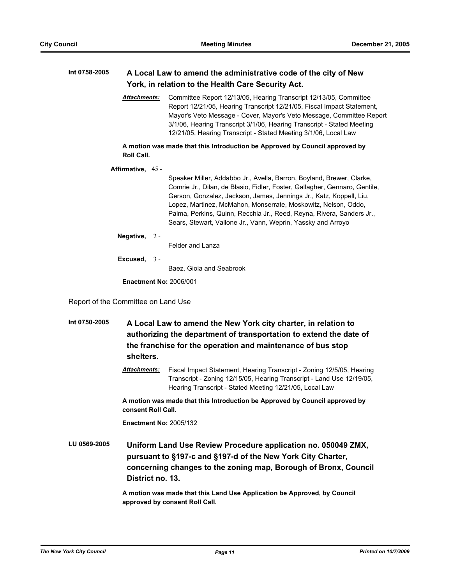## **Int 0758-2005 A Local Law to amend the administrative code of the city of New York, in relation to the Health Care Security Act.**

*Attachments:* Committee Report 12/13/05, Hearing Transcript 12/13/05, Committee Report 12/21/05, Hearing Transcript 12/21/05, Fiscal Impact Statement, Mayor's Veto Message - Cover, Mayor's Veto Message, Committee Report 3/1/06, Hearing Transcript 3/1/06, Hearing Transcript - Stated Meeting 12/21/05, Hearing Transcript - Stated Meeting 3/1/06, Local Law

**A motion was made that this Introduction be Approved by Council approved by Roll Call.**

**Affirmative,** 45 -

Speaker Miller, Addabbo Jr., Avella, Barron, Boyland, Brewer, Clarke, Comrie Jr., Dilan, de Blasio, Fidler, Foster, Gallagher, Gennaro, Gentile, Gerson, Gonzalez, Jackson, James, Jennings Jr., Katz, Koppell, Liu, Lopez, Martinez, McMahon, Monserrate, Moskowitz, Nelson, Oddo, Palma, Perkins, Quinn, Recchia Jr., Reed, Reyna, Rivera, Sanders Jr., Sears, Stewart, Vallone Jr., Vann, Weprin, Yassky and Arroyo

**Negative,** 2 -

Felder and Lanza

**Excused,** 3 -

Baez, Gioia and Seabrook

**Enactment No:** 2006/001

Report of the Committee on Land Use

**Int 0750-2005 A Local Law to amend the New York city charter, in relation to authorizing the department of transportation to extend the date of the franchise for the operation and maintenance of bus stop shelters.**

> *Attachments:* Fiscal Impact Statement, Hearing Transcript - Zoning 12/5/05, Hearing Transcript - Zoning 12/15/05, Hearing Transcript - Land Use 12/19/05, Hearing Transcript - Stated Meeting 12/21/05, Local Law

**A motion was made that this Introduction be Approved by Council approved by consent Roll Call.**

**Enactment No:** 2005/132

**LU 0569-2005 Uniform Land Use Review Procedure application no. 050049 ZMX, pursuant to §197-c and §197-d of the New York City Charter, concerning changes to the zoning map, Borough of Bronx, Council District no. 13.**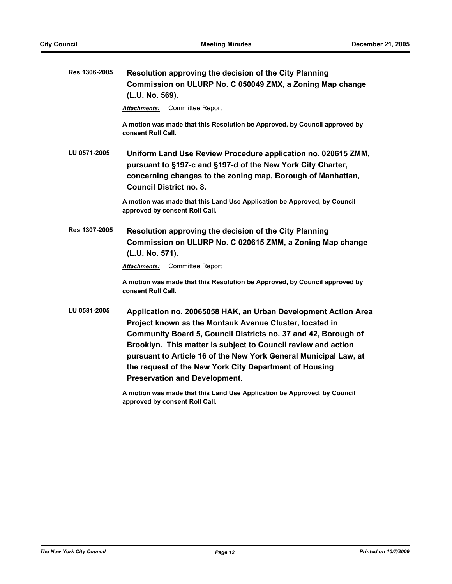| Res 1306-2005 | Resolution approving the decision of the City Planning<br>Commission on ULURP No. C 050049 ZMX, a Zoning Map change<br>(L.U. No. 569).                                                                                                                                                                                                                                                                                             |
|---------------|------------------------------------------------------------------------------------------------------------------------------------------------------------------------------------------------------------------------------------------------------------------------------------------------------------------------------------------------------------------------------------------------------------------------------------|
|               | <b>Committee Report</b><br>Attachments:                                                                                                                                                                                                                                                                                                                                                                                            |
|               | A motion was made that this Resolution be Approved, by Council approved by<br>consent Roll Call.                                                                                                                                                                                                                                                                                                                                   |
| LU 0571-2005  | Uniform Land Use Review Procedure application no. 020615 ZMM,<br>pursuant to §197-c and §197-d of the New York City Charter,<br>concerning changes to the zoning map, Borough of Manhattan,<br><b>Council District no. 8.</b>                                                                                                                                                                                                      |
|               | A motion was made that this Land Use Application be Approved, by Council<br>approved by consent Roll Call.                                                                                                                                                                                                                                                                                                                         |
| Res 1307-2005 | Resolution approving the decision of the City Planning<br>Commission on ULURP No. C 020615 ZMM, a Zoning Map change<br>(L.U. No. 571).                                                                                                                                                                                                                                                                                             |
|               | <b>Committee Report</b><br><b>Attachments:</b>                                                                                                                                                                                                                                                                                                                                                                                     |
|               | A motion was made that this Resolution be Approved, by Council approved by<br>consent Roll Call.                                                                                                                                                                                                                                                                                                                                   |
| LU 0581-2005  | Application no. 20065058 HAK, an Urban Development Action Area<br>Project known as the Montauk Avenue Cluster, located in<br>Community Board 5, Council Districts no. 37 and 42, Borough of<br>Brooklyn. This matter is subject to Council review and action<br>pursuant to Article 16 of the New York General Municipal Law, at<br>the request of the New York City Department of Housing<br><b>Preservation and Development.</b> |
|               | A motion was made that this Land Use Application be Approved, by Council                                                                                                                                                                                                                                                                                                                                                           |

**approved by consent Roll Call.**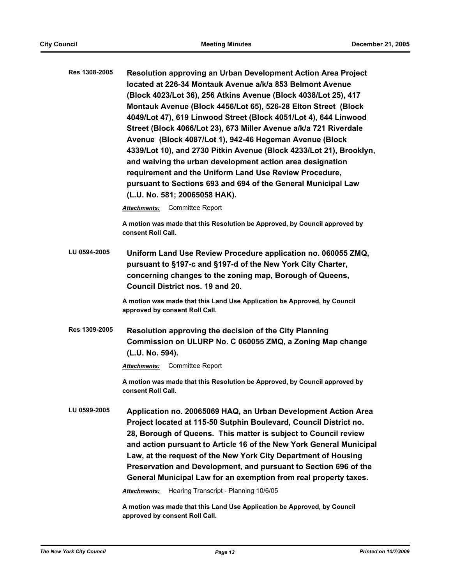| Res 1308-2005 | Resolution approving an Urban Development Action Area Project<br><u>located at 226-34 Montauk Avenue a/k/a 853 Belmont Avenue</u>                                                                                                                                                                                                                                                           |  |  |  |
|---------------|---------------------------------------------------------------------------------------------------------------------------------------------------------------------------------------------------------------------------------------------------------------------------------------------------------------------------------------------------------------------------------------------|--|--|--|
|               | (Block 4023/Lot 36), 256 Atkins Avenue (Block 4038/Lot 25), 417                                                                                                                                                                                                                                                                                                                             |  |  |  |
|               | Montauk Avenue (Block 4456/Lot 65), 526-28 Elton Street (Block                                                                                                                                                                                                                                                                                                                              |  |  |  |
|               | 4049/Lot 47), 619 Linwood Street (Block 4051/Lot 4), 644 Linwood                                                                                                                                                                                                                                                                                                                            |  |  |  |
|               | Street (Block 4066/Lot 23), 673 Miller Avenue a/k/a 721 Riverdale<br>Avenue (Block 4087/Lot 1), 942-46 Hegeman Avenue (Block<br>4339/Lot 10), and 2730 Pitkin Avenue (Block 4233/Lot 21), Brooklyn,<br>and waiving the urban development action area designation<br>requirement and the Uniform Land Use Review Procedure,<br>pursuant to Sections 693 and 694 of the General Municipal Law |  |  |  |
|               |                                                                                                                                                                                                                                                                                                                                                                                             |  |  |  |
|               |                                                                                                                                                                                                                                                                                                                                                                                             |  |  |  |
|               |                                                                                                                                                                                                                                                                                                                                                                                             |  |  |  |
|               |                                                                                                                                                                                                                                                                                                                                                                                             |  |  |  |
|               |                                                                                                                                                                                                                                                                                                                                                                                             |  |  |  |
|               | <b>Committee Report</b><br>Attachments:                                                                                                                                                                                                                                                                                                                                                     |  |  |  |
|               | A motion was made that this Resolution be Approved, by Council approved by<br>consent Roll Call.                                                                                                                                                                                                                                                                                            |  |  |  |
| LU 0594-2005  | Uniform Land Use Review Procedure application no. 060055 ZMQ,<br>pursuant to §197-c and §197-d of the New York City Charter,                                                                                                                                                                                                                                                                |  |  |  |

**concerning changes to the zoning map, Borough of Queens, Council District nos. 19 and 20.**

**A motion was made that this Land Use Application be Approved, by Council approved by consent Roll Call.**

**Res 1309-2005 Resolution approving the decision of the City Planning Commission on ULURP No. C 060055 ZMQ, a Zoning Map change (L.U. No. 594).**

*Attachments:* Committee Report

**A motion was made that this Resolution be Approved, by Council approved by consent Roll Call.**

**LU 0599-2005 Application no. 20065069 HAQ, an Urban Development Action Area Project located at 115-50 Sutphin Boulevard, Council District no. 28, Borough of Queens. This matter is subject to Council review and action pursuant to Article 16 of the New York General Municipal Law, at the request of the New York City Department of Housing Preservation and Development, and pursuant to Section 696 of the General Municipal Law for an exemption from real property taxes.**

*Attachments:* Hearing Transcript - Planning 10/6/05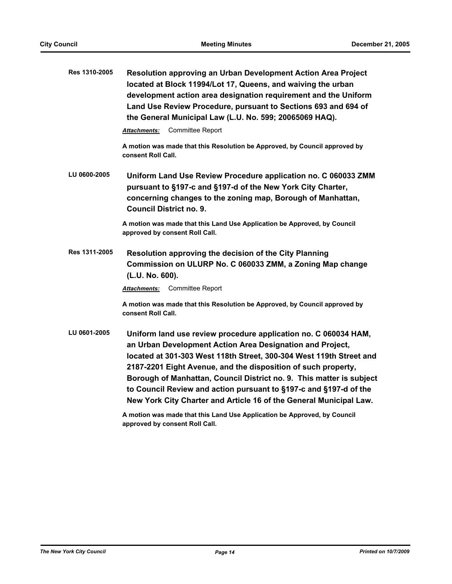| Res 1310-2005 | Resolution approving an Urban Development Action Area Project<br>located at Block 11994/Lot 17, Queens, and waiving the urban<br>development action area designation requirement and the Uniform<br>Land Use Review Procedure, pursuant to Sections 693 and 694 of<br>the General Municipal Law (L.U. No. 599; 20065069 HAQ).                                                                                                                                                           |
|---------------|-----------------------------------------------------------------------------------------------------------------------------------------------------------------------------------------------------------------------------------------------------------------------------------------------------------------------------------------------------------------------------------------------------------------------------------------------------------------------------------------|
|               | <b>Committee Report</b><br>Attachments:                                                                                                                                                                                                                                                                                                                                                                                                                                                 |
|               | A motion was made that this Resolution be Approved, by Council approved by<br>consent Roll Call.                                                                                                                                                                                                                                                                                                                                                                                        |
| LU 0600-2005  | Uniform Land Use Review Procedure application no. C 060033 ZMM<br>pursuant to §197-c and §197-d of the New York City Charter,<br>concerning changes to the zoning map, Borough of Manhattan,<br><b>Council District no. 9.</b>                                                                                                                                                                                                                                                          |
|               | A motion was made that this Land Use Application be Approved, by Council<br>approved by consent Roll Call.                                                                                                                                                                                                                                                                                                                                                                              |
| Res 1311-2005 | Resolution approving the decision of the City Planning<br>Commission on ULURP No. C 060033 ZMM, a Zoning Map change<br>(L.U. No. 600).                                                                                                                                                                                                                                                                                                                                                  |
|               | <b>Attachments:</b> Committee Report                                                                                                                                                                                                                                                                                                                                                                                                                                                    |
|               | A motion was made that this Resolution be Approved, by Council approved by<br>consent Roll Call.                                                                                                                                                                                                                                                                                                                                                                                        |
| LU 0601-2005  | Uniform land use review procedure application no. C 060034 HAM,<br>an Urban Development Action Area Designation and Project,<br>located at 301-303 West 118th Street, 300-304 West 119th Street and<br>2187-2201 Eight Avenue, and the disposition of such property,<br>Borough of Manhattan, Council District no. 9. This matter is subject<br>to Council Review and action pursuant to §197-c and §197-d of the<br>New York City Charter and Article 16 of the General Municipal Law. |
|               |                                                                                                                                                                                                                                                                                                                                                                                                                                                                                         |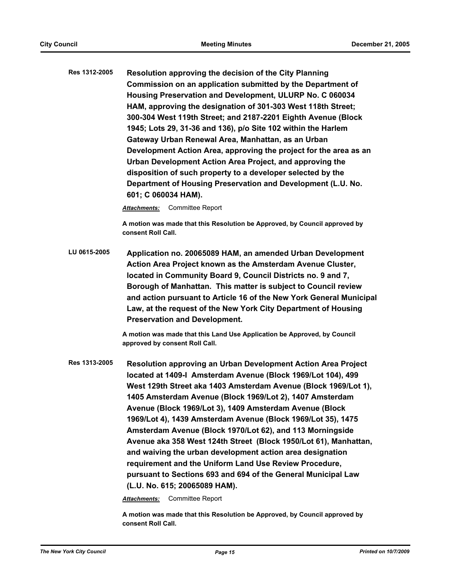**Res 1312-2005 Resolution approving the decision of the City Planning Commission on an application submitted by the Department of Housing Preservation and Development, ULURP No. C 060034 HAM, approving the designation of 301-303 West 118th Street; 300-304 West 119th Street; and 2187-2201 Eighth Avenue (Block 1945; Lots 29, 31-36 and 136), p/o Site 102 within the Harlem Gateway Urban Renewal Area, Manhattan, as an Urban Development Action Area, approving the project for the area as an Urban Development Action Area Project, and approving the disposition of such property to a developer selected by the Department of Housing Preservation and Development (L.U. No. 601; C 060034 HAM).**

*Attachments:* Committee Report

**A motion was made that this Resolution be Approved, by Council approved by consent Roll Call.**

**LU 0615-2005 Application no. 20065089 HAM, an amended Urban Development Action Area Project known as the Amsterdam Avenue Cluster, located in Community Board 9, Council Districts no. 9 and 7, Borough of Manhattan. This matter is subject to Council review and action pursuant to Article 16 of the New York General Municipal Law, at the request of the New York City Department of Housing Preservation and Development.**

> **A motion was made that this Land Use Application be Approved, by Council approved by consent Roll Call.**

**Res 1313-2005 Resolution approving an Urban Development Action Area Project located at 1409-I Amsterdam Avenue (Block 1969/Lot 104), 499 West 129th Street aka 1403 Amsterdam Avenue (Block 1969/Lot 1), 1405 Amsterdam Avenue (Block 1969/Lot 2), 1407 Amsterdam Avenue (Block 1969/Lot 3), 1409 Amsterdam Avenue (Block 1969/Lot 4), 1439 Amsterdam Avenue (Block 1969/Lot 35), 1475 Amsterdam Avenue (Block 1970/Lot 62), and 113 Morningside Avenue aka 358 West 124th Street (Block 1950/Lot 61), Manhattan, and waiving the urban development action area designation requirement and the Uniform Land Use Review Procedure, pursuant to Sections 693 and 694 of the General Municipal Law (L.U. No. 615; 20065089 HAM).**

*Attachments:* Committee Report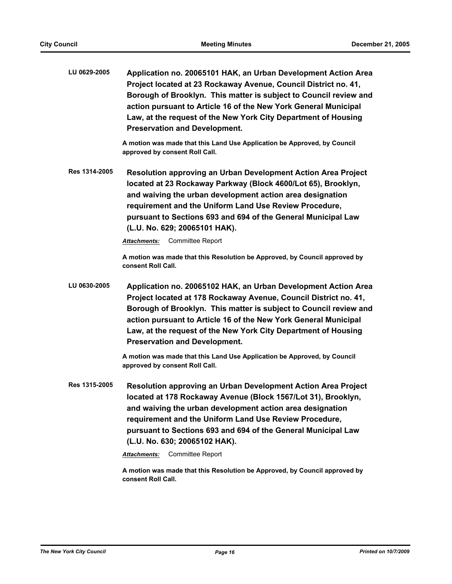| LU 0629-2005 | Application no. 20065101 HAK, an Urban Development Action Area    |
|--------------|-------------------------------------------------------------------|
|              | Project located at 23 Rockaway Avenue, Council District no. 41,   |
|              | Borough of Brooklyn. This matter is subject to Council review and |
|              | action pursuant to Article 16 of the New York General Municipal   |
|              | Law, at the request of the New York City Department of Housing    |
|              | <b>Preservation and Development.</b>                              |

**A motion was made that this Land Use Application be Approved, by Council approved by consent Roll Call.**

**Res 1314-2005 Resolution approving an Urban Development Action Area Project located at 23 Rockaway Parkway (Block 4600/Lot 65), Brooklyn, and waiving the urban development action area designation requirement and the Uniform Land Use Review Procedure, pursuant to Sections 693 and 694 of the General Municipal Law (L.U. No. 629; 20065101 HAK).**

*Attachments:* Committee Report

**A motion was made that this Resolution be Approved, by Council approved by consent Roll Call.**

**LU 0630-2005 Application no. 20065102 HAK, an Urban Development Action Area Project located at 178 Rockaway Avenue, Council District no. 41, Borough of Brooklyn. This matter is subject to Council review and action pursuant to Article 16 of the New York General Municipal Law, at the request of the New York City Department of Housing Preservation and Development.**

> **A motion was made that this Land Use Application be Approved, by Council approved by consent Roll Call.**

**Res 1315-2005 Resolution approving an Urban Development Action Area Project located at 178 Rockaway Avenue (Block 1567/Lot 31), Brooklyn, and waiving the urban development action area designation requirement and the Uniform Land Use Review Procedure, pursuant to Sections 693 and 694 of the General Municipal Law (L.U. No. 630; 20065102 HAK).**

*Attachments:* Committee Report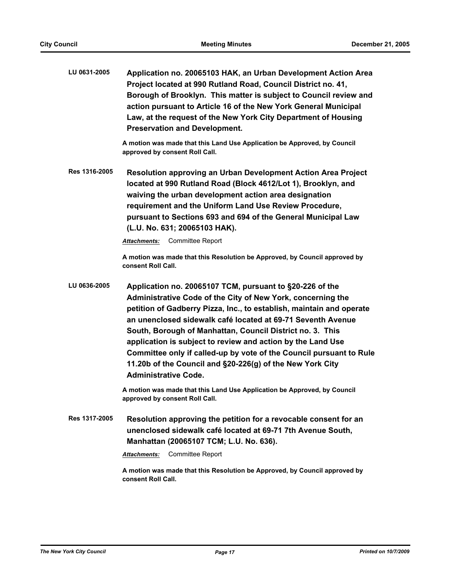| LU 0631-2005 | Application no. 20065103 HAK, an Urban Development Action Area    |
|--------------|-------------------------------------------------------------------|
|              | Project located at 990 Rutland Road, Council District no. 41,     |
|              | Borough of Brooklyn. This matter is subject to Council review and |
|              | action pursuant to Article 16 of the New York General Municipal   |
|              | Law, at the request of the New York City Department of Housing    |
|              | <b>Preservation and Development.</b>                              |

**A motion was made that this Land Use Application be Approved, by Council approved by consent Roll Call.**

**Res 1316-2005 Resolution approving an Urban Development Action Area Project located at 990 Rutland Road (Block 4612/Lot 1), Brooklyn, and waiving the urban development action area designation requirement and the Uniform Land Use Review Procedure, pursuant to Sections 693 and 694 of the General Municipal Law (L.U. No. 631; 20065103 HAK).**

*Attachments:* Committee Report

**A motion was made that this Resolution be Approved, by Council approved by consent Roll Call.**

**LU 0636-2005 Application no. 20065107 TCM, pursuant to §20-226 of the Administrative Code of the City of New York, concerning the petition of Gadberry Pizza, Inc., to establish, maintain and operate an unenclosed sidewalk café located at 69-71 Seventh Avenue South, Borough of Manhattan, Council District no. 3. This application is subject to review and action by the Land Use Committee only if called-up by vote of the Council pursuant to Rule 11.20b of the Council and §20-226(g) of the New York City Administrative Code.**

> **A motion was made that this Land Use Application be Approved, by Council approved by consent Roll Call.**

**Res 1317-2005 Resolution approving the petition for a revocable consent for an unenclosed sidewalk café located at 69-71 7th Avenue South, Manhattan (20065107 TCM; L.U. No. 636).**

*Attachments:* Committee Report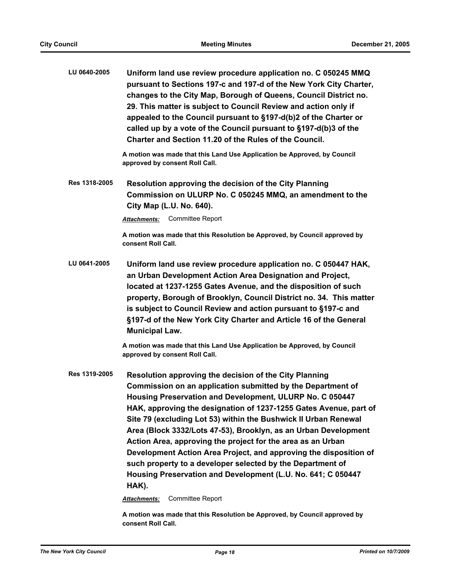| LU 0640-2005  | Uniform land use review procedure application no. C 050245 MMQ<br>pursuant to Sections 197-c and 197-d of the New York City Charter,<br>changes to the City Map, Borough of Queens, Council District no.<br>29. This matter is subject to Council Review and action only if<br>appealed to the Council pursuant to §197-d(b)2 of the Charter or<br>called up by a vote of the Council pursuant to §197-d(b)3 of the<br>Charter and Section 11.20 of the Rules of the Council. |
|---------------|-------------------------------------------------------------------------------------------------------------------------------------------------------------------------------------------------------------------------------------------------------------------------------------------------------------------------------------------------------------------------------------------------------------------------------------------------------------------------------|
|               | A motion was made that this Land Use Application be Approved, by Council<br>approved by consent Roll Call.                                                                                                                                                                                                                                                                                                                                                                    |
| Res 1318-2005 | Resolution approving the decision of the City Planning<br>Commission on ULURP No. C 050245 MMQ, an amendment to the<br>City Map (L.U. No. 640).                                                                                                                                                                                                                                                                                                                               |
|               | <b>Committee Report</b><br><b>Attachments:</b>                                                                                                                                                                                                                                                                                                                                                                                                                                |
|               | A motion was made that this Resolution be Approved, by Council approved by<br>consent Roll Call.                                                                                                                                                                                                                                                                                                                                                                              |
| LU 0641-2005  | Uniform land use review procedure application no. C 050447 HAK,<br>an Urban Development Action Area Designation and Project,<br>located at 1237-1255 Gates Avenue, and the disposition of such<br>property, Borough of Brooklyn, Council District no. 34. This matter<br>is subject to Council Review and action pursuant to §197-c and<br>§197-d of the New York City Charter and Article 16 of the General<br><b>Municipal Law.</b>                                         |
|               | A motion was made that this Land Use Application be Approved, by Council<br>approved by consent Roll Call.                                                                                                                                                                                                                                                                                                                                                                    |
| Res 1319-2005 | Resolution approving the decision of the City Planning<br>Commission on an application submitted by the Department of<br>Housing Prosentation and Development III IIDD No. C 050447                                                                                                                                                                                                                                                                                           |

**Housing Preservation and Development, ULURP No. C 050447 HAK, approving the designation of 1237-1255 Gates Avenue, part of Site 79 (excluding Lot 53) within the Bushwick II Urban Renewal Area (Block 3332/Lots 47-53), Brooklyn, as an Urban Development Action Area, approving the project for the area as an Urban Development Action Area Project, and approving the disposition of such property to a developer selected by the Department of Housing Preservation and Development (L.U. No. 641; C 050447 HAK).**

*Attachments:* Committee Report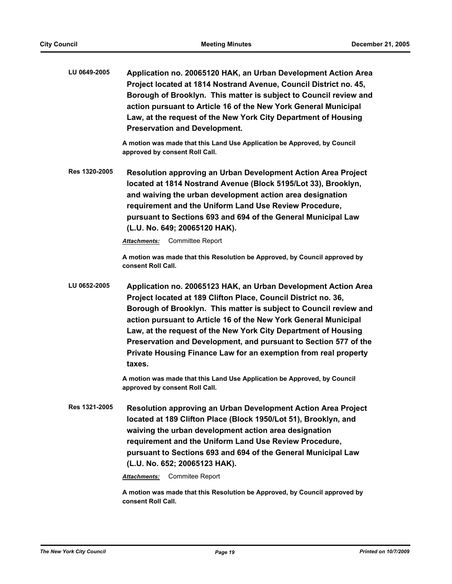**LU 0649-2005 Application no. 20065120 HAK, an Urban Development Action Area Project located at 1814 Nostrand Avenue, Council District no. 45, Borough of Brooklyn. This matter is subject to Council review and action pursuant to Article 16 of the New York General Municipal Law, at the request of the New York City Department of Housing Preservation and Development.**

> **A motion was made that this Land Use Application be Approved, by Council approved by consent Roll Call.**

**Res 1320-2005 Resolution approving an Urban Development Action Area Project located at 1814 Nostrand Avenue (Block 5195/Lot 33), Brooklyn, and waiving the urban development action area designation requirement and the Uniform Land Use Review Procedure, pursuant to Sections 693 and 694 of the General Municipal Law (L.U. No. 649; 20065120 HAK).**

*Attachments:* Committee Report

**A motion was made that this Resolution be Approved, by Council approved by consent Roll Call.**

**LU 0652-2005 Application no. 20065123 HAK, an Urban Development Action Area Project located at 189 Clifton Place, Council District no. 36, Borough of Brooklyn. This matter is subject to Council review and action pursuant to Article 16 of the New York General Municipal Law, at the request of the New York City Department of Housing Preservation and Development, and pursuant to Section 577 of the Private Housing Finance Law for an exemption from real property taxes.**

> **A motion was made that this Land Use Application be Approved, by Council approved by consent Roll Call.**

**Res 1321-2005 Resolution approving an Urban Development Action Area Project located at 189 Clifton Place (Block 1950/Lot 51), Brooklyn, and waiving the urban development action area designation requirement and the Uniform Land Use Review Procedure, pursuant to Sections 693 and 694 of the General Municipal Law (L.U. No. 652; 20065123 HAK).**

*Attachments:* Commitee Report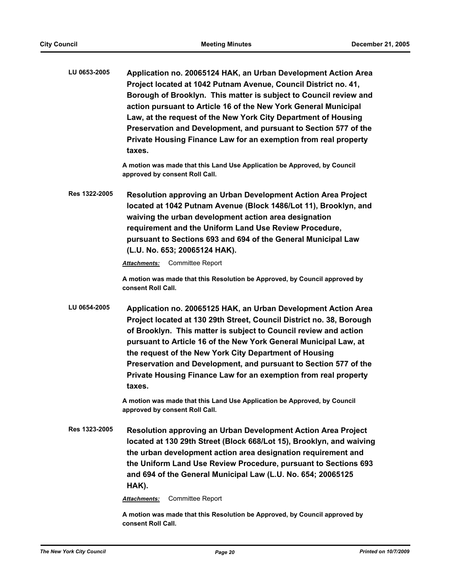**LU 0653-2005 Application no. 20065124 HAK, an Urban Development Action Area Project located at 1042 Putnam Avenue, Council District no. 41, Borough of Brooklyn. This matter is subject to Council review and action pursuant to Article 16 of the New York General Municipal Law, at the request of the New York City Department of Housing Preservation and Development, and pursuant to Section 577 of the Private Housing Finance Law for an exemption from real property taxes.**

> **A motion was made that this Land Use Application be Approved, by Council approved by consent Roll Call.**

**Res 1322-2005 Resolution approving an Urban Development Action Area Project located at 1042 Putnam Avenue (Block 1486/Lot 11), Brooklyn, and waiving the urban development action area designation requirement and the Uniform Land Use Review Procedure, pursuant to Sections 693 and 694 of the General Municipal Law (L.U. No. 653; 20065124 HAK).**

*Attachments:* Committee Report

**A motion was made that this Resolution be Approved, by Council approved by consent Roll Call.**

**LU 0654-2005 Application no. 20065125 HAK, an Urban Development Action Area Project located at 130 29th Street, Council District no. 38, Borough of Brooklyn. This matter is subject to Council review and action pursuant to Article 16 of the New York General Municipal Law, at the request of the New York City Department of Housing Preservation and Development, and pursuant to Section 577 of the Private Housing Finance Law for an exemption from real property taxes.**

> **A motion was made that this Land Use Application be Approved, by Council approved by consent Roll Call.**

**Res 1323-2005 Resolution approving an Urban Development Action Area Project located at 130 29th Street (Block 668/Lot 15), Brooklyn, and waiving the urban development action area designation requirement and the Uniform Land Use Review Procedure, pursuant to Sections 693 and 694 of the General Municipal Law (L.U. No. 654; 20065125 HAK).**

*Attachments:* Committee Report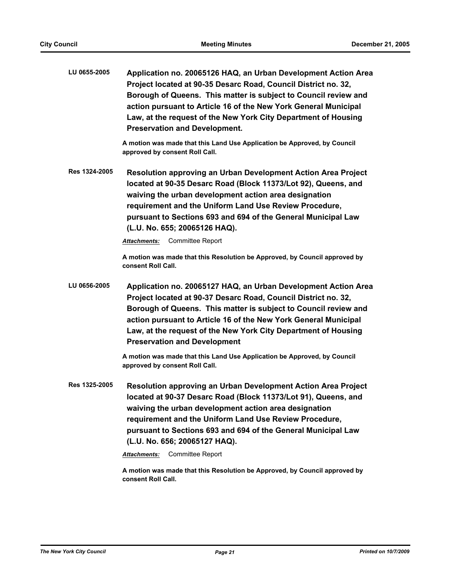| LU 0655-2005 | Application no. 20065126 HAQ, an Urban Development Action Area  |
|--------------|-----------------------------------------------------------------|
|              | Project located at 90-35 Desarc Road, Council District no. 32,  |
|              | Borough of Queens. This matter is subject to Council review and |
|              | action pursuant to Article 16 of the New York General Municipal |
|              | Law, at the request of the New York City Department of Housing  |
|              | <b>Preservation and Development.</b>                            |

**A motion was made that this Land Use Application be Approved, by Council approved by consent Roll Call.**

**Res 1324-2005 Resolution approving an Urban Development Action Area Project located at 90-35 Desarc Road (Block 11373/Lot 92), Queens, and waiving the urban development action area designation requirement and the Uniform Land Use Review Procedure, pursuant to Sections 693 and 694 of the General Municipal Law (L.U. No. 655; 20065126 HAQ).**

*Attachments:* Committee Report

**A motion was made that this Resolution be Approved, by Council approved by consent Roll Call.**

**LU 0656-2005 Application no. 20065127 HAQ, an Urban Development Action Area Project located at 90-37 Desarc Road, Council District no. 32, Borough of Queens. This matter is subject to Council review and action pursuant to Article 16 of the New York General Municipal Law, at the request of the New York City Department of Housing Preservation and Development**

> **A motion was made that this Land Use Application be Approved, by Council approved by consent Roll Call.**

**Res 1325-2005 Resolution approving an Urban Development Action Area Project located at 90-37 Desarc Road (Block 11373/Lot 91), Queens, and waiving the urban development action area designation requirement and the Uniform Land Use Review Procedure, pursuant to Sections 693 and 694 of the General Municipal Law (L.U. No. 656; 20065127 HAQ).**

*Attachments:* Committee Report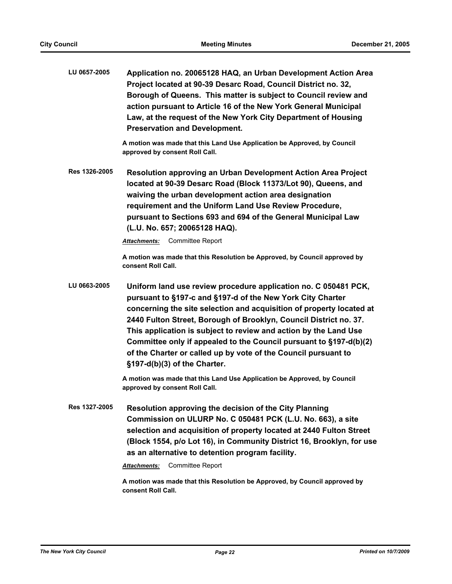| LU 0657-2005 | Application no. 20065128 HAQ, an Urban Development Action Area  |
|--------------|-----------------------------------------------------------------|
|              | Project located at 90-39 Desarc Road, Council District no. 32,  |
|              | Borough of Queens. This matter is subject to Council review and |
|              | action pursuant to Article 16 of the New York General Municipal |
|              | Law, at the request of the New York City Department of Housing  |
|              | <b>Preservation and Development.</b>                            |

**A motion was made that this Land Use Application be Approved, by Council approved by consent Roll Call.**

**Res 1326-2005 Resolution approving an Urban Development Action Area Project located at 90-39 Desarc Road (Block 11373/Lot 90), Queens, and waiving the urban development action area designation requirement and the Uniform Land Use Review Procedure, pursuant to Sections 693 and 694 of the General Municipal Law (L.U. No. 657; 20065128 HAQ).**

*Attachments:* Committee Report

**A motion was made that this Resolution be Approved, by Council approved by consent Roll Call.**

**LU 0663-2005 Uniform land use review procedure application no. C 050481 PCK, pursuant to §197-c and §197-d of the New York City Charter concerning the site selection and acquisition of property located at 2440 Fulton Street, Borough of Brooklyn, Council District no. 37. This application is subject to review and action by the Land Use Committee only if appealed to the Council pursuant to §197-d(b)(2) of the Charter or called up by vote of the Council pursuant to §197-d(b)(3) of the Charter.**

> **A motion was made that this Land Use Application be Approved, by Council approved by consent Roll Call.**

**Res 1327-2005 Resolution approving the decision of the City Planning Commission on ULURP No. C 050481 PCK (L.U. No. 663), a site selection and acquisition of property located at 2440 Fulton Street (Block 1554, p/o Lot 16), in Community District 16, Brooklyn, for use as an alternative to detention program facility.**

*Attachments:* Committee Report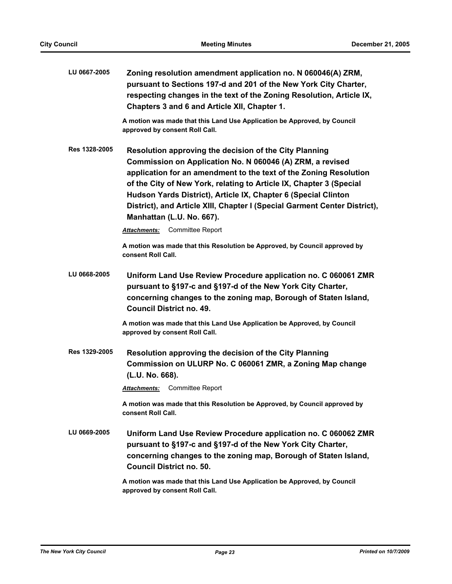| LU 0667-2005  | Zoning resolution amendment application no. N 060046(A) ZRM,<br>pursuant to Sections 197-d and 201 of the New York City Charter,<br>respecting changes in the text of the Zoning Resolution, Article IX,<br>Chapters 3 and 6 and Article XII, Chapter 1.                                                                                                                                                                                    |  |  |
|---------------|---------------------------------------------------------------------------------------------------------------------------------------------------------------------------------------------------------------------------------------------------------------------------------------------------------------------------------------------------------------------------------------------------------------------------------------------|--|--|
|               | A motion was made that this Land Use Application be Approved, by Council<br>approved by consent Roll Call.                                                                                                                                                                                                                                                                                                                                  |  |  |
| Res 1328-2005 | Resolution approving the decision of the City Planning<br>Commission on Application No. N 060046 (A) ZRM, a revised<br>application for an amendment to the text of the Zoning Resolution<br>of the City of New York, relating to Article IX, Chapter 3 (Special<br>Hudson Yards District), Article IX, Chapter 6 (Special Clinton<br>District), and Article XIII, Chapter I (Special Garment Center District),<br>Manhattan (L.U. No. 667). |  |  |
|               | <b>Attachments:</b> Committee Report                                                                                                                                                                                                                                                                                                                                                                                                        |  |  |
|               | A motion was made that this Resolution be Approved, by Council approved by<br>consent Roll Call.                                                                                                                                                                                                                                                                                                                                            |  |  |
| LU 0668-2005  | Uniform Land Use Review Procedure application no. C 060061 ZMR<br>pursuant to §197-c and §197-d of the New York City Charter,<br>concerning changes to the zoning map, Borough of Staten Island,<br><b>Council District no. 49.</b>                                                                                                                                                                                                         |  |  |
|               | A motion was made that this Land Use Application be Approved, by Council<br>approved by consent Roll Call.                                                                                                                                                                                                                                                                                                                                  |  |  |
| Res 1329-2005 | Resolution approving the decision of the City Planning<br>Commission on ULURP No. C 060061 ZMR, a Zoning Map change<br>(L.U. No. 668).                                                                                                                                                                                                                                                                                                      |  |  |
|               | Committee Report<br><b>Attachments:</b>                                                                                                                                                                                                                                                                                                                                                                                                     |  |  |
|               | A motion was made that this Resolution be Approved, by Council approved by<br>consent Roll Call.                                                                                                                                                                                                                                                                                                                                            |  |  |
| LU 0669-2005  | Uniform Land Use Review Procedure application no. C 060062 ZMR<br>pursuant to §197-c and §197-d of the New York City Charter,<br>concerning changes to the zoning map, Borough of Staten Island,<br><b>Council District no. 50.</b>                                                                                                                                                                                                         |  |  |
|               | A motion was made that this Land Use Application be Approved, by Council<br>approved by consent Roll Call.                                                                                                                                                                                                                                                                                                                                  |  |  |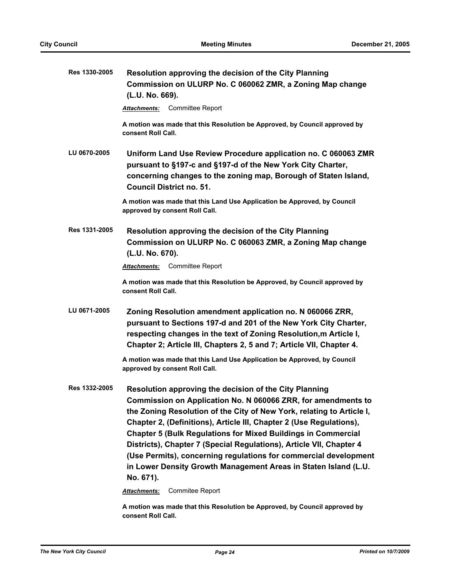| Res 1330-2005 | Resolution approving the decision of the City Planning<br>Commission on ULURP No. C 060062 ZMR, a Zoning Map change<br>(L.U. No. 669).                                                                                                                                                                                                                                                                                                                                                                                                                                     |  |  |  |
|---------------|----------------------------------------------------------------------------------------------------------------------------------------------------------------------------------------------------------------------------------------------------------------------------------------------------------------------------------------------------------------------------------------------------------------------------------------------------------------------------------------------------------------------------------------------------------------------------|--|--|--|
|               | Committee Report<br>Attachments:                                                                                                                                                                                                                                                                                                                                                                                                                                                                                                                                           |  |  |  |
|               | A motion was made that this Resolution be Approved, by Council approved by<br>consent Roll Call.                                                                                                                                                                                                                                                                                                                                                                                                                                                                           |  |  |  |
| LU 0670-2005  | Uniform Land Use Review Procedure application no. C 060063 ZMR<br>pursuant to §197-c and §197-d of the New York City Charter,<br>concerning changes to the zoning map, Borough of Staten Island,<br><b>Council District no. 51.</b>                                                                                                                                                                                                                                                                                                                                        |  |  |  |
|               | A motion was made that this Land Use Application be Approved, by Council<br>approved by consent Roll Call.                                                                                                                                                                                                                                                                                                                                                                                                                                                                 |  |  |  |
| Res 1331-2005 | Resolution approving the decision of the City Planning<br>Commission on ULURP No. C 060063 ZMR, a Zoning Map change<br>(L.U. No. 670).                                                                                                                                                                                                                                                                                                                                                                                                                                     |  |  |  |
|               | Committee Report<br><b>Attachments:</b>                                                                                                                                                                                                                                                                                                                                                                                                                                                                                                                                    |  |  |  |
|               | A motion was made that this Resolution be Approved, by Council approved by<br>consent Roll Call.                                                                                                                                                                                                                                                                                                                                                                                                                                                                           |  |  |  |
| LU 0671-2005  | Zoning Resolution amendment application no. N 060066 ZRR,<br>pursuant to Sections 197-d and 201 of the New York City Charter,<br>respecting changes in the text of Zoning Resolution, m Article I,<br>Chapter 2; Article III, Chapters 2, 5 and 7; Article VII, Chapter 4.                                                                                                                                                                                                                                                                                                 |  |  |  |
|               | A motion was made that this Land Use Application be Approved, by Council<br>approved by consent Roll Call.                                                                                                                                                                                                                                                                                                                                                                                                                                                                 |  |  |  |
| Res 1332-2005 | Resolution approving the decision of the City Planning<br>Commission on Application No. N 060066 ZRR, for amendments to<br>the Zoning Resolution of the City of New York, relating to Article I,<br>Chapter 2, (Definitions), Article III, Chapter 2 (Use Regulations),<br><b>Chapter 5 (Bulk Regulations for Mixed Buildings in Commercial</b><br>Districts), Chapter 7 (Special Regulations), Article VII, Chapter 4<br>(Use Permits), concerning regulations for commercial development<br>in Lower Density Growth Management Areas in Staten Island (L.U.<br>No. 671). |  |  |  |
|               | Commitee Report<br>Attachments:                                                                                                                                                                                                                                                                                                                                                                                                                                                                                                                                            |  |  |  |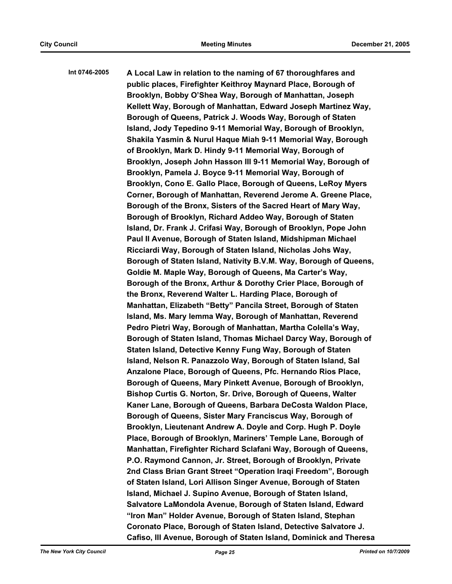**Int 0746-2005 A Local Law in relation to the naming of 67 thoroughfares and public places, Firefighter Keithroy Maynard Place, Borough of Brooklyn, Bobby O'Shea Way, Borough of Manhattan, Joseph Kellett Way, Borough of Manhattan, Edward Joseph Martinez Way, Borough of Queens, Patrick J. Woods Way, Borough of Staten Island, Jody Tepedino 9-11 Memorial Way, Borough of Brooklyn, Shakila Yasmin & Nurul Haque Miah 9-11 Memorial Way, Borough of Brooklyn, Mark D. Hindy 9-11 Memorial Way, Borough of Brooklyn, Joseph John Hasson III 9-11 Memorial Way, Borough of Brooklyn, Pamela J. Boyce 9-11 Memorial Way, Borough of Brooklyn, Cono E. Gallo Place, Borough of Queens, LeRoy Myers Corner, Borough of Manhattan, Reverend Jerome A. Greene Place, Borough of the Bronx, Sisters of the Sacred Heart of Mary Way, Borough of Brooklyn, Richard Addeo Way, Borough of Staten Island, Dr. Frank J. Crifasi Way, Borough of Brooklyn, Pope John Paul II Avenue, Borough of Staten Island, Midshipman Michael Ricciardi Way, Borough of Staten Island, Nicholas Johs Way, Borough of Staten Island, Nativity B.V.M. Way, Borough of Queens, Goldie M. Maple Way, Borough of Queens, Ma Carter's Way, Borough of the Bronx, Arthur & Dorothy Crier Place, Borough of the Bronx, Reverend Walter L. Harding Place, Borough of Manhattan, Elizabeth "Betty" Pancila Street, Borough of Staten Island, Ms. Mary Iemma Way, Borough of Manhattan, Reverend Pedro Pietri Way, Borough of Manhattan, Martha Colella's Way, Borough of Staten Island, Thomas Michael Darcy Way, Borough of Staten Island, Detective Kenny Fung Way, Borough of Staten Island, Nelson R. Panazzolo Way, Borough of Staten Island, Sal Anzalone Place, Borough of Queens, Pfc. Hernando Rios Place, Borough of Queens, Mary Pinkett Avenue, Borough of Brooklyn, Bishop Curtis G. Norton, Sr. Drive, Borough of Queens, Walter Kaner Lane, Borough of Queens, Barbara DeCosta Waldon Place, Borough of Queens, Sister Mary Franciscus Way, Borough of Brooklyn, Lieutenant Andrew A. Doyle and Corp. Hugh P. Doyle Place, Borough of Brooklyn, Mariners' Temple Lane, Borough of Manhattan, Firefighter Richard Sclafani Way, Borough of Queens, P.O. Raymond Cannon, Jr. Street, Borough of Brooklyn, Private 2nd Class Brian Grant Street "Operation Iraqi Freedom", Borough of Staten Island, Lori Allison Singer Avenue, Borough of Staten Island, Michael J. Supino Avenue, Borough of Staten Island, Salvatore LaMondola Avenue, Borough of Staten Island, Edward "Iron Man" Holder Avenue, Borough of Staten Island, Stephan Coronato Place, Borough of Staten Island, Detective Salvatore J. Cafiso, III Avenue, Borough of Staten Island, Dominick and Theresa**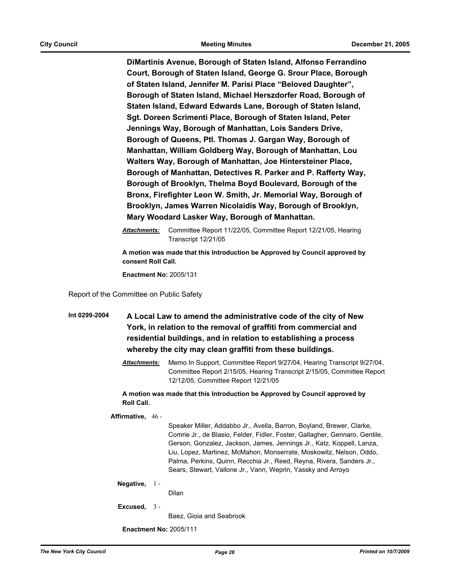**DiMartinis Avenue, Borough of Staten Island, Alfonso Ferrandino Court, Borough of Staten Island, George G. Srour Place, Borough of Staten Island, Jennifer M. Parisi Place "Beloved Daughter", Borough of Staten Island, Michael Herszdorfer Road, Borough of Staten Island, Edward Edwards Lane, Borough of Staten Island, Sgt. Doreen Scrimenti Place, Borough of Staten Island, Peter Jennings Way, Borough of Manhattan, Lois Sanders Drive, Borough of Queens, Ptl. Thomas J. Gargan Way, Borough of Manhattan, William Goldberg Way, Borough of Manhattan, Lou Walters Way, Borough of Manhattan, Joe Hintersteiner Place, Borough of Manhattan, Detectives R. Parker and P. Rafferty Way, Borough of Brooklyn, Thelma Boyd Boulevard, Borough of the Bronx, Firefighter Leon W. Smith, Jr. Memorial Way, Borough of Brooklyn, James Warren Nicolaidis Way, Borough of Brooklyn, Mary Woodard Lasker Way, Borough of Manhattan.**

*Attachments:* Committee Report 11/22/05, Committee Report 12/21/05, Hearing Transcript 12/21/05

**A motion was made that this Introduction be Approved by Council approved by consent Roll Call.**

**Enactment No:** 2005/131

Report of the Committee on Public Safety

**Int 0299-2004 A Local Law to amend the administrative code of the city of New York, in relation to the removal of graffiti from commercial and residential buildings, and in relation to establishing a process whereby the city may clean graffiti from these buildings.**

> *Attachments:* Memo In Support, Committee Report 9/27/04, Hearing Transcript 9/27/04, Committee Report 2/15/05, Hearing Transcript 2/15/05, Committee Report 12/12/05, Committee Report 12/21/05

**A motion was made that this Introduction be Approved by Council approved by Roll Call.**

**Affirmative,** 46 -

Speaker Miller, Addabbo Jr., Avella, Barron, Boyland, Brewer, Clarke, Comrie Jr., de Blasio, Felder, Fidler, Foster, Gallagher, Gennaro, Gentile, Gerson, Gonzalez, Jackson, James, Jennings Jr., Katz, Koppell, Lanza, Liu, Lopez, Martinez, McMahon, Monserrate, Moskowitz, Nelson, Oddo, Palma, Perkins, Quinn, Recchia Jr., Reed, Reyna, Rivera, Sanders Jr., Sears, Stewart, Vallone Jr., Vann, Weprin, Yassky and Arroyo

#### **Negative,** 1 -

Dilan

**Excused,** 3 -

Baez, Gioia and Seabrook

**Enactment No:** 2005/111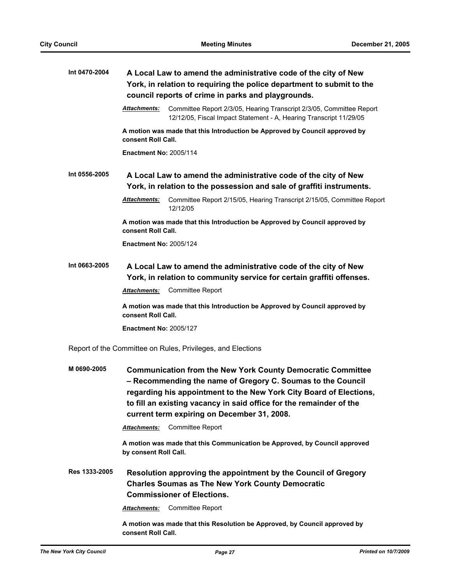| Int 0470-2004 | A Local Law to amend the administrative code of the city of New<br>York, in relation to requiring the police department to submit to the<br>council reports of crime in parks and playgrounds.                                                                                                                                                                                                                                                                |  |  |
|---------------|---------------------------------------------------------------------------------------------------------------------------------------------------------------------------------------------------------------------------------------------------------------------------------------------------------------------------------------------------------------------------------------------------------------------------------------------------------------|--|--|
|               | <b>Attachments:</b><br>Committee Report 2/3/05, Hearing Transcript 2/3/05, Committee Report<br>12/12/05, Fiscal Impact Statement - A, Hearing Transcript 11/29/05                                                                                                                                                                                                                                                                                             |  |  |
|               | A motion was made that this Introduction be Approved by Council approved by<br>consent Roll Call.                                                                                                                                                                                                                                                                                                                                                             |  |  |
|               | <b>Enactment No: 2005/114</b>                                                                                                                                                                                                                                                                                                                                                                                                                                 |  |  |
| Int 0556-2005 | A Local Law to amend the administrative code of the city of New<br>York, in relation to the possession and sale of graffiti instruments.                                                                                                                                                                                                                                                                                                                      |  |  |
|               | <b>Attachments:</b><br>Committee Report 2/15/05, Hearing Transcript 2/15/05, Committee Report<br>12/12/05                                                                                                                                                                                                                                                                                                                                                     |  |  |
|               | A motion was made that this Introduction be Approved by Council approved by<br>consent Roll Call.                                                                                                                                                                                                                                                                                                                                                             |  |  |
|               | <b>Enactment No: 2005/124</b>                                                                                                                                                                                                                                                                                                                                                                                                                                 |  |  |
| Int 0663-2005 | A Local Law to amend the administrative code of the city of New<br>York, in relation to community service for certain graffiti offenses.                                                                                                                                                                                                                                                                                                                      |  |  |
|               | <b>Committee Report</b><br><b>Attachments:</b>                                                                                                                                                                                                                                                                                                                                                                                                                |  |  |
|               | A motion was made that this Introduction be Approved by Council approved by<br>consent Roll Call.                                                                                                                                                                                                                                                                                                                                                             |  |  |
|               | <b>Enactment No: 2005/127</b>                                                                                                                                                                                                                                                                                                                                                                                                                                 |  |  |
|               | Report of the Committee on Rules, Privileges, and Elections                                                                                                                                                                                                                                                                                                                                                                                                   |  |  |
| M 0690-2005   | <b>Communication from the New York County Democratic Committee</b><br>- Recommending the name of Gregory C. Soumas to the Council<br>regarding his appointment to the New York City Board of Elections,<br>to fill an existing vacancy in said office for the remainder of the<br>current term expiring on December 31, 2008.<br><b>Committee Report</b><br><b>Attachments:</b><br>A motion was made that this Communication be Approved, by Council approved |  |  |
|               | by consent Roll Call.                                                                                                                                                                                                                                                                                                                                                                                                                                         |  |  |
| Res 1333-2005 | Resolution approving the appointment by the Council of Gregory<br><b>Charles Soumas as The New York County Democratic</b><br><b>Commissioner of Elections.</b>                                                                                                                                                                                                                                                                                                |  |  |
|               | <b>Committee Report</b><br><b>Attachments:</b>                                                                                                                                                                                                                                                                                                                                                                                                                |  |  |
|               | A motion was made that this Resolution be Approved, by Council approved by<br>consent Roll Call.                                                                                                                                                                                                                                                                                                                                                              |  |  |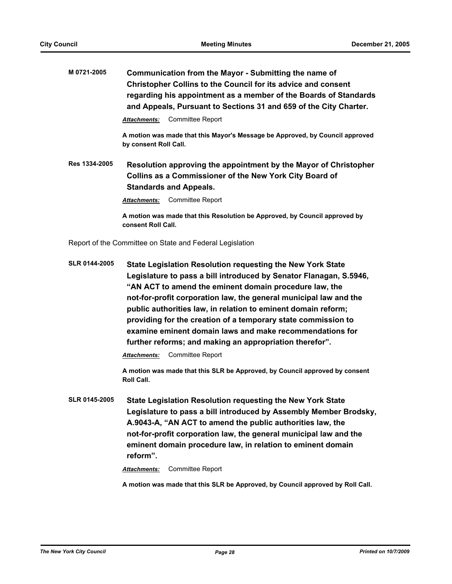**M 0721-2005 Communication from the Mayor - Submitting the name of Christopher Collins to the Council for its advice and consent regarding his appointment as a member of the Boards of Standards and Appeals, Pursuant to Sections 31 and 659 of the City Charter.** *Attachments:* Committee Report **A motion was made that this Mayor's Message be Approved, by Council approved by consent Roll Call. Res 1334-2005 Resolution approving the appointment by the Mayor of Christopher Collins as a Commissioner of the New York City Board of Standards and Appeals.** *Attachments:* Committee Report **A motion was made that this Resolution be Approved, by Council approved by consent Roll Call.**

Report of the Committee on State and Federal Legislation

**SLR 0144-2005 State Legislation Resolution requesting the New York State Legislature to pass a bill introduced by Senator Flanagan, S.5946, "AN ACT to amend the eminent domain procedure law, the not-for-profit corporation law, the general municipal law and the public authorities law, in relation to eminent domain reform; providing for the creation of a temporary state commission to examine eminent domain laws and make recommendations for further reforms; and making an appropriation therefor".**

*Attachments:* Committee Report

**A motion was made that this SLR be Approved, by Council approved by consent Roll Call.**

**SLR 0145-2005 State Legislation Resolution requesting the New York State Legislature to pass a bill introduced by Assembly Member Brodsky, A.9043-A, "AN ACT to amend the public authorities law, the not-for-profit corporation law, the general municipal law and the eminent domain procedure law, in relation to eminent domain reform".**

*Attachments:* Committee Report

**A motion was made that this SLR be Approved, by Council approved by Roll Call.**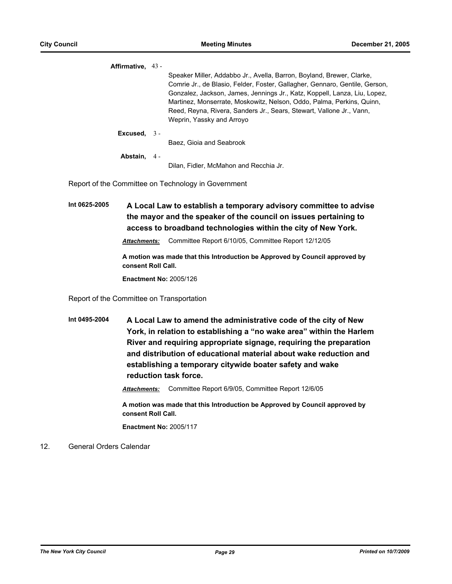| Affirmative. 43 -   |                                                                             |
|---------------------|-----------------------------------------------------------------------------|
|                     | Speaker Miller, Addabbo Jr., Avella, Barron, Boyland, Brewer, Clarke,       |
|                     | Comrie Jr., de Blasio, Felder, Foster, Gallagher, Gennaro, Gentile, Gerson, |
|                     | Gonzalez, Jackson, James, Jennings Jr., Katz, Koppell, Lanza, Liu, Lopez,   |
|                     | Martinez, Monserrate, Moskowitz, Nelson, Oddo, Palma, Perkins, Quinn,       |
|                     | Reed, Reyna, Rivera, Sanders Jr., Sears, Stewart, Vallone Jr., Vann,        |
|                     | Weprin, Yassky and Arroyo                                                   |
| Excused. $3 -$      |                                                                             |
|                     | Baez. Gioja and Seabrook                                                    |
| <b>Abstain.</b> 4 - |                                                                             |
|                     | Dilan. Fidler. McMahon and Recchia Jr.                                      |

Report of the Committee on Technology in Government

**Int 0625-2005 A Local Law to establish a temporary advisory committee to advise the mayor and the speaker of the council on issues pertaining to access to broadband technologies within the city of New York.**

*Attachments:* Committee Report 6/10/05, Committee Report 12/12/05

**A motion was made that this Introduction be Approved by Council approved by consent Roll Call.**

**Enactment No:** 2005/126

Report of the Committee on Transportation

**Int 0495-2004 A Local Law to amend the administrative code of the city of New York, in relation to establishing a "no wake area" within the Harlem River and requiring appropriate signage, requiring the preparation and distribution of educational material about wake reduction and establishing a temporary citywide boater safety and wake reduction task force.**

*Attachments:* Committee Report 6/9/05, Committee Report 12/6/05

**A motion was made that this Introduction be Approved by Council approved by consent Roll Call.**

**Enactment No:** 2005/117

### 12. General Orders Calendar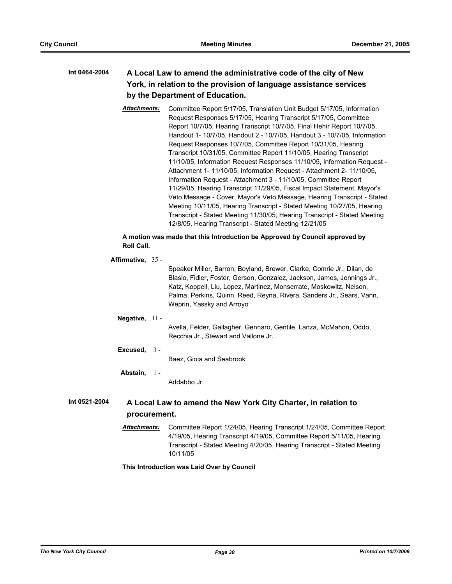# **Int 0464-2004 A Local Law to amend the administrative code of the city of New York, in relation to the provision of language assistance services by the Department of Education.**

*Attachments:* Committee Report 5/17/05, Translation Unit Budget 5/17/05, Information Request Responses 5/17/05, Hearing Transcript 5/17/05, Committee Report 10/7/05, Hearing Transcript 10/7/05, Final Hehir Report 10/7/05, Handout 1- 10/7/05, Handout 2 - 10/7/05, Handout 3 - 10/7/05, Information Request Responses 10/7/05, Committee Report 10/31/05, Hearing Transcript 10/31/05, Committee Report 11/10/05, Hearing Transcript 11/10/05, Information Request Responses 11/10/05, Information Request - Attachment 1- 11/10/05, Information Request - Attachment 2- 11/10/05, Information Request - Attachment 3 - 11/10/05, Committee Report 11/29/05, Hearing Transcript 11/29/05, Fiscal Impact Statement, Mayor's Veto Message - Cover, Mayor's Veto Message, Hearing Transcript - Stated Meeting 10/11/05, Hearing Transcript - Stated Meeting 10/27/05, Hearing Transcript - Stated Meeting 11/30/05, Hearing Transcript - Stated Meeting 12/8/05, Hearing Transcript - Stated Meeting 12/21/05

### **A motion was made that this Introduction be Approved by Council approved by Roll Call.**

### **Affirmative,** 35 -

Speaker Miller, Barron, Boyland, Brewer, Clarke, Comrie Jr., Dilan, de Blasio, Fidler, Foster, Gerson, Gonzalez, Jackson, James, Jennings Jr., Katz, Koppell, Liu, Lopez, Martinez, Monserrate, Moskowitz, Nelson, Palma, Perkins, Quinn, Reed, Reyna, Rivera, Sanders Jr., Sears, Vann, Weprin, Yassky and Arroyo

# **Negative,** 11 -

Avella, Felder, Gallagher, Gennaro, Gentile, Lanza, McMahon, Oddo, Recchia Jr., Stewart and Vallone Jr.

### **Excused,** 3 -

Baez, Gioia and Seabrook

### **Abstain,** 1 -

Addabbo Jr.

## **Int 0521-2004 A Local Law to amend the New York City Charter, in relation to procurement.**

*Attachments:* Committee Report 1/24/05, Hearing Transcript 1/24/05, Committee Report 4/19/05, Hearing Transcript 4/19/05, Committee Report 5/11/05, Hearing Transcript - Stated Meeting 4/20/05, Hearing Transcript - Stated Meeting 10/11/05

**This Introduction was Laid Over by Council**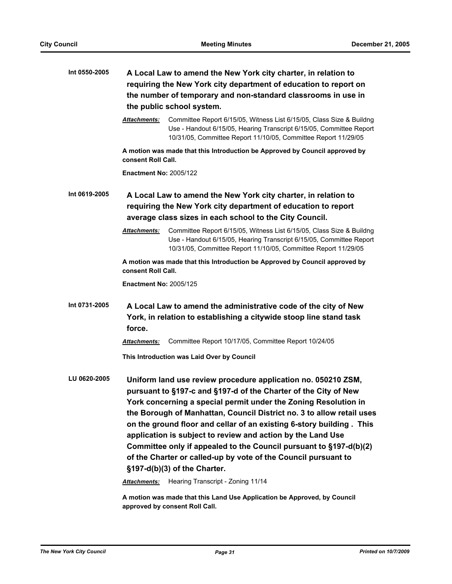| Int 0550-2005 | A Local Law to amend the New York city charter, in relation to<br>requiring the New York city department of education to report on<br>the number of temporary and non-standard classrooms in use in<br>the public school system. |                                                                                                                                                                                                                                                                                                                                                                                                                                                                                                                                                                                             |  |
|---------------|----------------------------------------------------------------------------------------------------------------------------------------------------------------------------------------------------------------------------------|---------------------------------------------------------------------------------------------------------------------------------------------------------------------------------------------------------------------------------------------------------------------------------------------------------------------------------------------------------------------------------------------------------------------------------------------------------------------------------------------------------------------------------------------------------------------------------------------|--|
|               | Attachments:                                                                                                                                                                                                                     | Committee Report 6/15/05, Witness List 6/15/05, Class Size & Buildng<br>Use - Handout 6/15/05, Hearing Transcript 6/15/05, Committee Report<br>10/31/05, Committee Report 11/10/05, Committee Report 11/29/05                                                                                                                                                                                                                                                                                                                                                                               |  |
|               | consent Roll Call.                                                                                                                                                                                                               | A motion was made that this Introduction be Approved by Council approved by                                                                                                                                                                                                                                                                                                                                                                                                                                                                                                                 |  |
|               | <b>Enactment No: 2005/122</b>                                                                                                                                                                                                    |                                                                                                                                                                                                                                                                                                                                                                                                                                                                                                                                                                                             |  |
| Int 0619-2005 | A Local Law to amend the New York city charter, in relation to<br>requiring the New York city department of education to report<br>average class sizes in each school to the City Council.                                       |                                                                                                                                                                                                                                                                                                                                                                                                                                                                                                                                                                                             |  |
|               | Attachments:                                                                                                                                                                                                                     | Committee Report 6/15/05, Witness List 6/15/05, Class Size & Buildng<br>Use - Handout 6/15/05, Hearing Transcript 6/15/05, Committee Report<br>10/31/05, Committee Report 11/10/05, Committee Report 11/29/05                                                                                                                                                                                                                                                                                                                                                                               |  |
|               | consent Roll Call.                                                                                                                                                                                                               | A motion was made that this Introduction be Approved by Council approved by                                                                                                                                                                                                                                                                                                                                                                                                                                                                                                                 |  |
|               | <b>Enactment No: 2005/125</b>                                                                                                                                                                                                    |                                                                                                                                                                                                                                                                                                                                                                                                                                                                                                                                                                                             |  |
| Int 0731-2005 | force.                                                                                                                                                                                                                           | A Local Law to amend the administrative code of the city of New<br>York, in relation to establishing a citywide stoop line stand task                                                                                                                                                                                                                                                                                                                                                                                                                                                       |  |
|               | <b>Attachments:</b>                                                                                                                                                                                                              | Committee Report 10/17/05, Committee Report 10/24/05                                                                                                                                                                                                                                                                                                                                                                                                                                                                                                                                        |  |
|               |                                                                                                                                                                                                                                  | This Introduction was Laid Over by Council                                                                                                                                                                                                                                                                                                                                                                                                                                                                                                                                                  |  |
| LU 0620-2005  |                                                                                                                                                                                                                                  | Uniform land use review procedure application no. 050210 ZSM,<br>pursuant to §197-c and §197-d of the Charter of the City of New<br>York concerning a special permit under the Zoning Resolution in<br>the Borough of Manhattan, Council District no. 3 to allow retail uses<br>on the ground floor and cellar of an existing 6-story building. This<br>application is subject to review and action by the Land Use<br>Committee only if appealed to the Council pursuant to §197-d(b)(2)<br>of the Charter or called-up by vote of the Council pursuant to<br>§197-d(b)(3) of the Charter. |  |
|               | <b>Attachments:</b>                                                                                                                                                                                                              | Hearing Transcript - Zoning 11/14                                                                                                                                                                                                                                                                                                                                                                                                                                                                                                                                                           |  |
|               |                                                                                                                                                                                                                                  | A motion was mado that this Land Llso Annlication bo Annrouad by Council                                                                                                                                                                                                                                                                                                                                                                                                                                                                                                                    |  |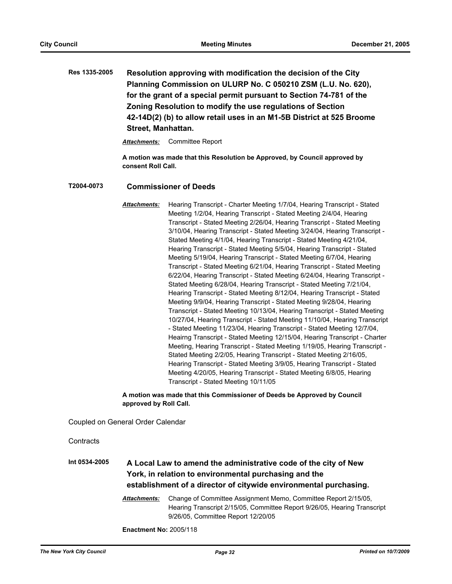**Res 1335-2005 Resolution approving with modification the decision of the City Planning Commission on ULURP No. C 050210 ZSM (L.U. No. 620), for the grant of a special permit pursuant to Section 74-781 of the Zoning Resolution to modify the use regulations of Section 42-14D(2) (b) to allow retail uses in an M1-5B District at 525 Broome Street, Manhattan.**

*Attachments:* Committee Report

**A motion was made that this Resolution be Approved, by Council approved by consent Roll Call.**

### **T2004-0073 Commissioner of Deeds**

*Attachments:* Hearing Transcript - Charter Meeting 1/7/04, Hearing Transcript - Stated Meeting 1/2/04, Hearing Transcript - Stated Meeting 2/4/04, Hearing Transcript - Stated Meeting 2/26/04, Hearing Transcript - Stated Meeting 3/10/04, Hearing Transcript - Stated Meeting 3/24/04, Hearing Transcript - Stated Meeting 4/1/04, Hearing Transcript - Stated Meeting 4/21/04, Hearing Transcript - Stated Meeting 5/5/04, Hearing Transcript - Stated Meeting 5/19/04, Hearing Transcript - Stated Meeting 6/7/04, Hearing Transcript - Stated Meeting 6/21/04, Hearing Transcript - Stated Meeting 6/22/04, Hearing Transcript - Stated Meeting 6/24/04, Hearing Transcript - Stated Meeting 6/28/04, Hearing Transcript - Stated Meeting 7/21/04, Hearing Transcript - Stated Meeting 8/12/04, Hearing Transcript - Stated Meeting 9/9/04, Hearing Transcript - Stated Meeting 9/28/04, Hearing Transcript - Stated Meeting 10/13/04, Hearing Transcript - Stated Meeting 10/27/04, Hearing Transcript - Stated Meeting 11/10/04, Hearing Transcript - Stated Meeting 11/23/04, Hearing Transcript - Stated Meeting 12/7/04, Heairng Transcript - Stated Meeting 12/15/04, Hearing Transcript - Charter Meeting, Hearing Transcript - Stated Meeting 1/19/05, Hearing Transcript - Stated Meeting 2/2/05, Hearing Transcript - Stated Meeting 2/16/05, Hearing Transcript - Stated Meeting 3/9/05, Hearing Transcript - Stated Meeting 4/20/05, Hearing Transcript - Stated Meeting 6/8/05, Hearing Transcript - Stated Meeting 10/11/05

**A motion was made that this Commissioner of Deeds be Approved by Council approved by Roll Call.**

Coupled on General Order Calendar

**Contracts** 

# **Int 0534-2005 A Local Law to amend the administrative code of the city of New York, in relation to environmental purchasing and the establishment of a director of citywide environmental purchasing.**

*Attachments:* Change of Committee Assignment Memo, Committee Report 2/15/05, Hearing Transcript 2/15/05, Committee Report 9/26/05, Hearing Transcript 9/26/05, Committee Report 12/20/05

**Enactment No:** 2005/118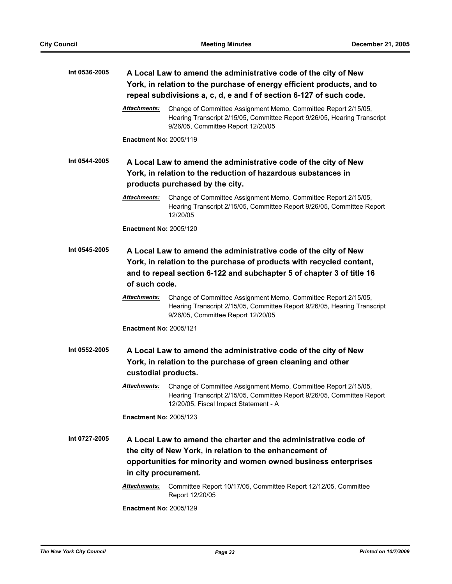| Int 0536-2005 | A Local Law to amend the administrative code of the city of New<br>York, in relation to the purchase of energy efficient products, and to<br>repeal subdivisions a, c, d, e and f of section 6-127 of such code.                  |                                                                                                                                                                                                                       |  |
|---------------|-----------------------------------------------------------------------------------------------------------------------------------------------------------------------------------------------------------------------------------|-----------------------------------------------------------------------------------------------------------------------------------------------------------------------------------------------------------------------|--|
|               | Attachments:                                                                                                                                                                                                                      | Change of Committee Assignment Memo, Committee Report 2/15/05,<br>Hearing Transcript 2/15/05, Committee Report 9/26/05, Hearing Transcript<br>9/26/05, Committee Report 12/20/05                                      |  |
|               | <b>Enactment No: 2005/119</b>                                                                                                                                                                                                     |                                                                                                                                                                                                                       |  |
| Int 0544-2005 | A Local Law to amend the administrative code of the city of New<br>York, in relation to the reduction of hazardous substances in<br>products purchased by the city.                                                               |                                                                                                                                                                                                                       |  |
|               | Attachments:                                                                                                                                                                                                                      | Change of Committee Assignment Memo, Committee Report 2/15/05,<br>Hearing Transcript 2/15/05, Committee Report 9/26/05, Committee Report<br>12/20/05                                                                  |  |
|               | <b>Enactment No: 2005/120</b>                                                                                                                                                                                                     |                                                                                                                                                                                                                       |  |
| Int 0545-2005 | A Local Law to amend the administrative code of the city of New<br>York, in relation to the purchase of products with recycled content,<br>and to repeal section 6-122 and subchapter 5 of chapter 3 of title 16<br>of such code. |                                                                                                                                                                                                                       |  |
|               | <u>Attachments:</u>                                                                                                                                                                                                               | Change of Committee Assignment Memo, Committee Report 2/15/05,<br>Hearing Transcript 2/15/05, Committee Report 9/26/05, Hearing Transcript<br>9/26/05, Committee Report 12/20/05                                      |  |
|               | <b>Enactment No: 2005/121</b>                                                                                                                                                                                                     |                                                                                                                                                                                                                       |  |
| Int 0552-2005 | A Local Law to amend the administrative code of the city of New<br>York, in relation to the purchase of green cleaning and other<br>custodial products.                                                                           |                                                                                                                                                                                                                       |  |
|               | Attachments:                                                                                                                                                                                                                      | Change of Committee Assignment Memo, Committee Report 2/15/05,<br>Hearing Transcript 2/15/05, Committee Report 9/26/05, Committee Report<br>12/20/05, Fiscal Impact Statement - A                                     |  |
|               | <b>Enactment No: 2005/123</b>                                                                                                                                                                                                     |                                                                                                                                                                                                                       |  |
| Int 0727-2005 |                                                                                                                                                                                                                                   | A Local Law to amend the charter and the administrative code of<br>the city of New York, in relation to the enhancement of<br>opportunities for minority and women owned business enterprises<br>in city procurement. |  |
|               | <b>Attachments:</b>                                                                                                                                                                                                               | Committee Report 10/17/05, Committee Report 12/12/05, Committee<br>Report 12/20/05                                                                                                                                    |  |
|               | <b>Enactment No: 2005/129</b>                                                                                                                                                                                                     |                                                                                                                                                                                                                       |  |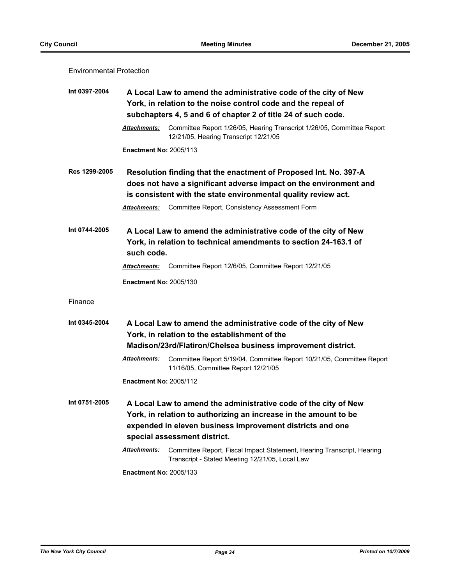### Environmental Protection

| Int 0397-2004 | A Local Law to amend the administrative code of the city of New<br>York, in relation to the noise control code and the repeal of<br>subchapters 4, 5 and 6 of chapter 2 of title 24 of such code.                                |                                                                                                                                                                                                                                                          |  |
|---------------|----------------------------------------------------------------------------------------------------------------------------------------------------------------------------------------------------------------------------------|----------------------------------------------------------------------------------------------------------------------------------------------------------------------------------------------------------------------------------------------------------|--|
|               | <b>Attachments:</b>                                                                                                                                                                                                              | Committee Report 1/26/05, Hearing Transcript 1/26/05, Committee Report<br>12/21/05, Hearing Transcript 12/21/05                                                                                                                                          |  |
|               | <b>Enactment No: 2005/113</b>                                                                                                                                                                                                    |                                                                                                                                                                                                                                                          |  |
| Res 1299-2005 | <b>Attachments:</b>                                                                                                                                                                                                              | Resolution finding that the enactment of Proposed Int. No. 397-A<br>does not have a significant adverse impact on the environment and<br>is consistent with the state environmental quality review act.<br>Committee Report, Consistency Assessment Form |  |
| Int 0744-2005 | A Local Law to amend the administrative code of the city of New<br>York, in relation to technical amendments to section 24-163.1 of<br>such code.                                                                                |                                                                                                                                                                                                                                                          |  |
|               | <b>Attachments:</b>                                                                                                                                                                                                              | Committee Report 12/6/05, Committee Report 12/21/05                                                                                                                                                                                                      |  |
|               | <b>Enactment No: 2005/130</b>                                                                                                                                                                                                    |                                                                                                                                                                                                                                                          |  |
| Finance       |                                                                                                                                                                                                                                  |                                                                                                                                                                                                                                                          |  |
| Int 0345-2004 | A Local Law to amend the administrative code of the city of New<br>York, in relation to the establishment of the<br>Madison/23rd/Flatiron/Chelsea business improvement district.                                                 |                                                                                                                                                                                                                                                          |  |
|               | Attachments:                                                                                                                                                                                                                     | Committee Report 5/19/04, Committee Report 10/21/05, Committee Report<br>11/16/05, Committee Report 12/21/05                                                                                                                                             |  |
|               | <b>Enactment No: 2005/112</b>                                                                                                                                                                                                    |                                                                                                                                                                                                                                                          |  |
| Int 0751-2005 | A Local Law to amend the administrative code of the city of New<br>York, in relation to authorizing an increase in the amount to be<br>expended in eleven business improvement districts and one<br>special assessment district. |                                                                                                                                                                                                                                                          |  |
|               | Attachments:                                                                                                                                                                                                                     | Committee Report, Fiscal Impact Statement, Hearing Transcript, Hearing<br>Transcript - Stated Meeting 12/21/05, Local Law                                                                                                                                |  |
|               | <b>Enactment No: 2005/133</b>                                                                                                                                                                                                    |                                                                                                                                                                                                                                                          |  |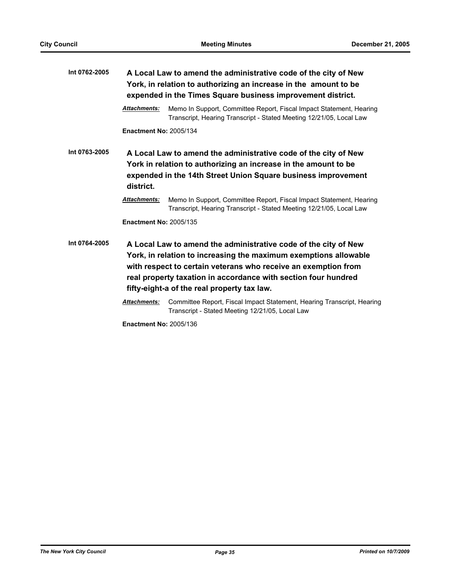| Int 0762-2005 | A Local Law to amend the administrative code of the city of New<br>York, in relation to authorizing an increase in the amount to be<br>expended in the Times Square business improvement district.               |                                                                                                                                                                                                                                                                                                                        |  |
|---------------|------------------------------------------------------------------------------------------------------------------------------------------------------------------------------------------------------------------|------------------------------------------------------------------------------------------------------------------------------------------------------------------------------------------------------------------------------------------------------------------------------------------------------------------------|--|
|               | <b>Attachments:</b>                                                                                                                                                                                              | Memo In Support, Committee Report, Fiscal Impact Statement, Hearing<br>Transcript, Hearing Transcript - Stated Meeting 12/21/05, Local Law                                                                                                                                                                             |  |
|               | <b>Enactment No: 2005/134</b>                                                                                                                                                                                    |                                                                                                                                                                                                                                                                                                                        |  |
| Int 0763-2005 | A Local Law to amend the administrative code of the city of New<br>York in relation to authorizing an increase in the amount to be<br>expended in the 14th Street Union Square business improvement<br>district. |                                                                                                                                                                                                                                                                                                                        |  |
|               | <b>Attachments:</b>                                                                                                                                                                                              | Memo In Support, Committee Report, Fiscal Impact Statement, Hearing<br>Transcript, Hearing Transcript - Stated Meeting 12/21/05, Local Law                                                                                                                                                                             |  |
|               | <b>Enactment No: 2005/135</b>                                                                                                                                                                                    |                                                                                                                                                                                                                                                                                                                        |  |
| Int 0764-2005 |                                                                                                                                                                                                                  | A Local Law to amend the administrative code of the city of New<br>York, in relation to increasing the maximum exemptions allowable<br>with respect to certain veterans who receive an exemption from<br>real property taxation in accordance with section four hundred<br>fifty-eight-a of the real property tax law. |  |
|               | <b>Attachments:</b>                                                                                                                                                                                              | Committee Report, Fiscal Impact Statement, Hearing Transcript, Hearing<br>Transcript - Stated Meeting 12/21/05, Local Law                                                                                                                                                                                              |  |
|               | <b>Enactment No: 2005/136</b>                                                                                                                                                                                    |                                                                                                                                                                                                                                                                                                                        |  |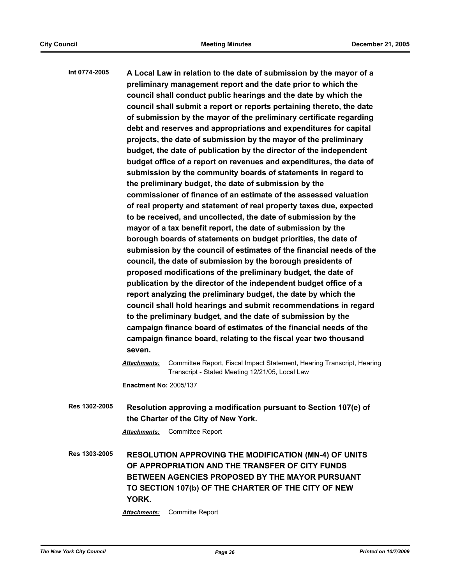| Int 0774-2005 | A Local Law in relation to the date of submission by the mayor of a<br>preliminary management report and the date prior to which the<br>council shall conduct public hearings and the date by which the<br>council shall submit a report or reports pertaining thereto, the date<br>of submission by the mayor of the preliminary certificate regarding<br>debt and reserves and appropriations and expenditures for capital<br>projects, the date of submission by the mayor of the preliminary<br>budget, the date of publication by the director of the independent<br>budget office of a report on revenues and expenditures, the date of<br>submission by the community boards of statements in regard to<br>the preliminary budget, the date of submission by the<br>commissioner of finance of an estimate of the assessed valuation<br>of real property and statement of real property taxes due, expected<br>to be received, and uncollected, the date of submission by the<br>mayor of a tax benefit report, the date of submission by the<br>borough boards of statements on budget priorities, the date of<br>submission by the council of estimates of the financial needs of the<br>council, the date of submission by the borough presidents of<br>proposed modifications of the preliminary budget, the date of<br>publication by the director of the independent budget office of a<br>report analyzing the preliminary budget, the date by which the<br>council shall hold hearings and submit recommendations in regard<br>to the preliminary budget, and the date of submission by the<br>campaign finance board of estimates of the financial needs of the<br>campaign finance board, relating to the fiscal year two thousand<br>seven.<br>Attachments:<br>Committee Report, Fiscal Impact Statement, Hearing Transcript, Hearing<br>Transcript - Stated Meeting 12/21/05, Local Law<br><b>Enactment No: 2005/137</b> |
|---------------|---------------------------------------------------------------------------------------------------------------------------------------------------------------------------------------------------------------------------------------------------------------------------------------------------------------------------------------------------------------------------------------------------------------------------------------------------------------------------------------------------------------------------------------------------------------------------------------------------------------------------------------------------------------------------------------------------------------------------------------------------------------------------------------------------------------------------------------------------------------------------------------------------------------------------------------------------------------------------------------------------------------------------------------------------------------------------------------------------------------------------------------------------------------------------------------------------------------------------------------------------------------------------------------------------------------------------------------------------------------------------------------------------------------------------------------------------------------------------------------------------------------------------------------------------------------------------------------------------------------------------------------------------------------------------------------------------------------------------------------------------------------------------------------------------------------------------------------------------------------------------------------------------------------------------------------------|
| Res 1302-2005 | Resolution approving a modification pursuant to Section 107(e) of<br>the Charter of the City of New York.                                                                                                                                                                                                                                                                                                                                                                                                                                                                                                                                                                                                                                                                                                                                                                                                                                                                                                                                                                                                                                                                                                                                                                                                                                                                                                                                                                                                                                                                                                                                                                                                                                                                                                                                                                                                                                   |
|               | <b>Committee Report</b><br>Attachments:                                                                                                                                                                                                                                                                                                                                                                                                                                                                                                                                                                                                                                                                                                                                                                                                                                                                                                                                                                                                                                                                                                                                                                                                                                                                                                                                                                                                                                                                                                                                                                                                                                                                                                                                                                                                                                                                                                     |
| Res 1303-2005 | <b>RESOLUTION APPROVING THE MODIFICATION (MN-4) OF UNITS</b><br>OF APPROPRIATION AND THE TRANSFER OF CITY FUNDS<br>BETWEEN AGENCIES PROPOSED BY THE MAYOR PURSUANT<br>TO SECTION 107(b) OF THE CHARTER OF THE CITY OF NEW                                                                                                                                                                                                                                                                                                                                                                                                                                                                                                                                                                                                                                                                                                                                                                                                                                                                                                                                                                                                                                                                                                                                                                                                                                                                                                                                                                                                                                                                                                                                                                                                                                                                                                                   |

**YORK.**

*Attachments:* Committe Report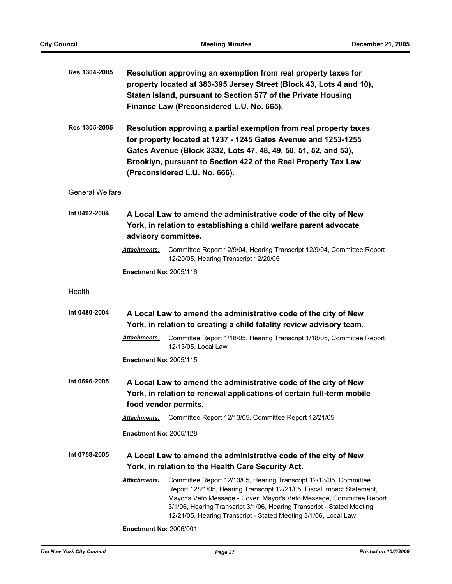| Res 1304-2005          | Resolution approving an exemption from real property taxes for<br>property located at 383-395 Jersey Street (Block 43, Lots 4 and 10),<br>Staten Island, pursuant to Section 577 of the Private Housing<br>Finance Law (Preconsidered L.U. No. 665).                                                      |                                                                                                                                                                                                                                                                                                                                                                  |  |
|------------------------|-----------------------------------------------------------------------------------------------------------------------------------------------------------------------------------------------------------------------------------------------------------------------------------------------------------|------------------------------------------------------------------------------------------------------------------------------------------------------------------------------------------------------------------------------------------------------------------------------------------------------------------------------------------------------------------|--|
| Res 1305-2005          | Resolution approving a partial exemption from real property taxes<br>for property located at 1237 - 1245 Gates Avenue and 1253-1255<br>Gates Avenue (Block 3332, Lots 47, 48, 49, 50, 51, 52, and 53),<br>Brooklyn, pursuant to Section 422 of the Real Property Tax Law<br>(Preconsidered L.U. No. 666). |                                                                                                                                                                                                                                                                                                                                                                  |  |
| <b>General Welfare</b> |                                                                                                                                                                                                                                                                                                           |                                                                                                                                                                                                                                                                                                                                                                  |  |
| Int 0492-2004          | advisory committee.                                                                                                                                                                                                                                                                                       | A Local Law to amend the administrative code of the city of New<br>York, in relation to establishing a child welfare parent advocate                                                                                                                                                                                                                             |  |
|                        | <b>Attachments:</b>                                                                                                                                                                                                                                                                                       | Committee Report 12/9/04, Hearing Transcript 12/9/04, Committee Report<br>12/20/05, Hearing Transcript 12/20/05                                                                                                                                                                                                                                                  |  |
|                        | <b>Enactment No: 2005/116</b>                                                                                                                                                                                                                                                                             |                                                                                                                                                                                                                                                                                                                                                                  |  |
| Health                 |                                                                                                                                                                                                                                                                                                           |                                                                                                                                                                                                                                                                                                                                                                  |  |
| Int 0480-2004          |                                                                                                                                                                                                                                                                                                           | A Local Law to amend the administrative code of the city of New<br>York, in relation to creating a child fatality review advisory team.                                                                                                                                                                                                                          |  |
|                        | <b>Attachments:</b>                                                                                                                                                                                                                                                                                       | Committee Report 1/18/05, Hearing Transcript 1/18/05, Committee Report<br>12/13/05, Local Law                                                                                                                                                                                                                                                                    |  |
|                        | <b>Enactment No: 2005/115</b>                                                                                                                                                                                                                                                                             |                                                                                                                                                                                                                                                                                                                                                                  |  |
| Int 0696-2005          |                                                                                                                                                                                                                                                                                                           | A Local Law to amend the administrative code of the city of New<br>York, in relation to renewal applications of certain full-term mobile<br>food vendor permits.                                                                                                                                                                                                 |  |
|                        | <b>Attachments:</b>                                                                                                                                                                                                                                                                                       | Committee Report 12/13/05, Committee Report 12/21/05                                                                                                                                                                                                                                                                                                             |  |
|                        | <b>Enactment No: 2005/128</b>                                                                                                                                                                                                                                                                             |                                                                                                                                                                                                                                                                                                                                                                  |  |
| Int 0758-2005          |                                                                                                                                                                                                                                                                                                           | A Local Law to amend the administrative code of the city of New<br>York, in relation to the Health Care Security Act.                                                                                                                                                                                                                                            |  |
|                        | <b>Attachments:</b>                                                                                                                                                                                                                                                                                       | Committee Report 12/13/05, Hearing Transcript 12/13/05, Committee<br>Report 12/21/05, Hearing Transcript 12/21/05, Fiscal Impact Statement,<br>Mayor's Veto Message - Cover, Mayor's Veto Message, Committee Report<br>3/1/06, Hearing Transcript 3/1/06, Hearing Transcript - Stated Meeting<br>12/21/05, Hearing Transcript - Stated Meeting 3/1/06, Local Law |  |
|                        |                                                                                                                                                                                                                                                                                                           |                                                                                                                                                                                                                                                                                                                                                                  |  |

**Enactment No:** 2006/001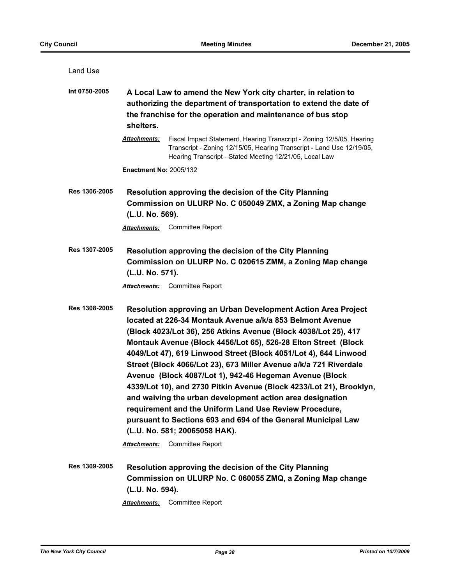| Land Use      |                                                                                                                                                                                                                                                                                                                                                                                                                                                                                                                                                                                                                                                                                                                                                                                                                |  |
|---------------|----------------------------------------------------------------------------------------------------------------------------------------------------------------------------------------------------------------------------------------------------------------------------------------------------------------------------------------------------------------------------------------------------------------------------------------------------------------------------------------------------------------------------------------------------------------------------------------------------------------------------------------------------------------------------------------------------------------------------------------------------------------------------------------------------------------|--|
| Int 0750-2005 | A Local Law to amend the New York city charter, in relation to<br>authorizing the department of transportation to extend the date of<br>the franchise for the operation and maintenance of bus stop<br>shelters.                                                                                                                                                                                                                                                                                                                                                                                                                                                                                                                                                                                               |  |
|               | Fiscal Impact Statement, Hearing Transcript - Zoning 12/5/05, Hearing<br><b>Attachments:</b><br>Transcript - Zoning 12/15/05, Hearing Transcript - Land Use 12/19/05,<br>Hearing Transcript - Stated Meeting 12/21/05, Local Law                                                                                                                                                                                                                                                                                                                                                                                                                                                                                                                                                                               |  |
|               | <b>Enactment No: 2005/132</b>                                                                                                                                                                                                                                                                                                                                                                                                                                                                                                                                                                                                                                                                                                                                                                                  |  |
| Res 1306-2005 | Resolution approving the decision of the City Planning<br>Commission on ULURP No. C 050049 ZMX, a Zoning Map change<br>(L.U. No. 569).                                                                                                                                                                                                                                                                                                                                                                                                                                                                                                                                                                                                                                                                         |  |
|               | <b>Committee Report</b><br>Attachments:                                                                                                                                                                                                                                                                                                                                                                                                                                                                                                                                                                                                                                                                                                                                                                        |  |
| Res 1307-2005 | Resolution approving the decision of the City Planning<br>Commission on ULURP No. C 020615 ZMM, a Zoning Map change<br>(L.U. No. 571).                                                                                                                                                                                                                                                                                                                                                                                                                                                                                                                                                                                                                                                                         |  |
|               | <b>Committee Report</b><br>Attachments:                                                                                                                                                                                                                                                                                                                                                                                                                                                                                                                                                                                                                                                                                                                                                                        |  |
| Res 1308-2005 | Resolution approving an Urban Development Action Area Project<br>located at 226-34 Montauk Avenue a/k/a 853 Belmont Avenue<br>(Block 4023/Lot 36), 256 Atkins Avenue (Block 4038/Lot 25), 417<br>Montauk Avenue (Block 4456/Lot 65), 526-28 Elton Street (Block<br>4049/Lot 47), 619 Linwood Street (Block 4051/Lot 4), 644 Linwood<br>Street (Block 4066/Lot 23), 673 Miller Avenue a/k/a 721 Riverdale<br>Avenue (Block 4087/Lot 1), 942-46 Hegeman Avenue (Block<br>4339/Lot 10), and 2730 Pitkin Avenue (Block 4233/Lot 21), Brooklyn,<br>and waiving the urban development action area designation<br>requirement and the Uniform Land Use Review Procedure,<br>pursuant to Sections 693 and 694 of the General Municipal Law<br>(L.U. No. 581; 20065058 HAK).<br><b>Committee Report</b><br>Attachments: |  |
| Res 1309-2005 | Resolution approving the decision of the City Planning<br>Commission on ULURP No. C 060055 ZMQ, a Zoning Map change<br>(L.U. No. 594).                                                                                                                                                                                                                                                                                                                                                                                                                                                                                                                                                                                                                                                                         |  |
|               | Committee Report<br><b>Attachments:</b>                                                                                                                                                                                                                                                                                                                                                                                                                                                                                                                                                                                                                                                                                                                                                                        |  |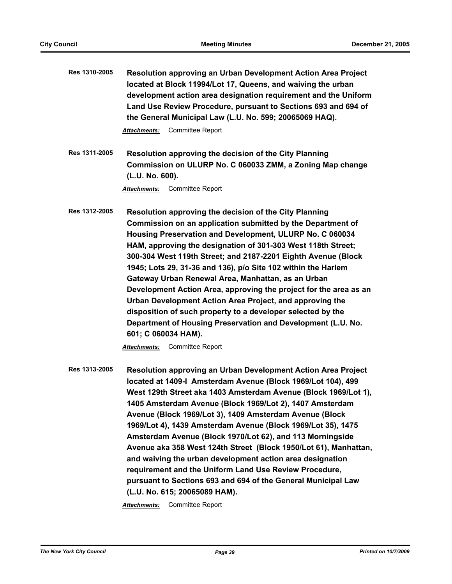| Res 1310-2005 | Resolution approving an Urban Development Action Area Project<br>located at Block 11994/Lot 17, Queens, and waiving the urban<br>development action area designation requirement and the Uniform<br>Land Use Review Procedure, pursuant to Sections 693 and 694 of<br>the General Municipal Law (L.U. No. 599; 20065069 HAQ).                                                                                                                                                                                                                                                                                                                                                                                                                                                      |
|---------------|------------------------------------------------------------------------------------------------------------------------------------------------------------------------------------------------------------------------------------------------------------------------------------------------------------------------------------------------------------------------------------------------------------------------------------------------------------------------------------------------------------------------------------------------------------------------------------------------------------------------------------------------------------------------------------------------------------------------------------------------------------------------------------|
|               | Committee Report<br>Attachments:                                                                                                                                                                                                                                                                                                                                                                                                                                                                                                                                                                                                                                                                                                                                                   |
| Res 1311-2005 | Resolution approving the decision of the City Planning<br>Commission on ULURP No. C 060033 ZMM, a Zoning Map change<br>(L.U. No. 600).                                                                                                                                                                                                                                                                                                                                                                                                                                                                                                                                                                                                                                             |
|               | <b>Committee Report</b><br>Attachments:                                                                                                                                                                                                                                                                                                                                                                                                                                                                                                                                                                                                                                                                                                                                            |
| Res 1312-2005 | Resolution approving the decision of the City Planning<br>Commission on an application submitted by the Department of<br>Housing Preservation and Development, ULURP No. C 060034<br>HAM, approving the designation of 301-303 West 118th Street;<br>300-304 West 119th Street; and 2187-2201 Eighth Avenue (Block<br>1945; Lots 29, 31-36 and 136), p/o Site 102 within the Harlem<br>Gateway Urban Renewal Area, Manhattan, as an Urban<br>Development Action Area, approving the project for the area as an<br>Urban Development Action Area Project, and approving the<br>disposition of such property to a developer selected by the<br>Department of Housing Preservation and Development (L.U. No.<br>601; C 060034 HAM).<br><b>Committee Report</b><br><b>Attachments:</b> |
| Res 1313-2005 | <b>Resolution approving an Urban Development Action Area Project</b><br>located at 1409-I Amsterdam Avenue (Block 1969/Lot 104), 499<br>West 129th Street aka 1403 Amsterdam Avenue (Block 1969/Lot 1),<br>1405 Amsterdam Avenue (Block 1969/Lot 2), 1407 Amsterdam<br>Avenue (Block 1969/Lot 3), 1409 Amsterdam Avenue (Block<br>1969/Lot 4), 1439 Amsterdam Avenue (Block 1969/Lot 35), 1475<br>Amsterdam Avenue (Block 1970/Lot 62), and 113 Morningside<br>Avenue aka 358 West 124th Street (Block 1950/Lot 61), Manhattan,<br>and waiving the urban development action area designation<br>requirement and the Uniform Land Use Review Procedure,<br>pursuant to Sections 693 and 694 of the General Municipal Law<br>(L.U. No. 615; 20065089 HAM).                           |
|               | Committee Report<br><b>Attachments:</b>                                                                                                                                                                                                                                                                                                                                                                                                                                                                                                                                                                                                                                                                                                                                            |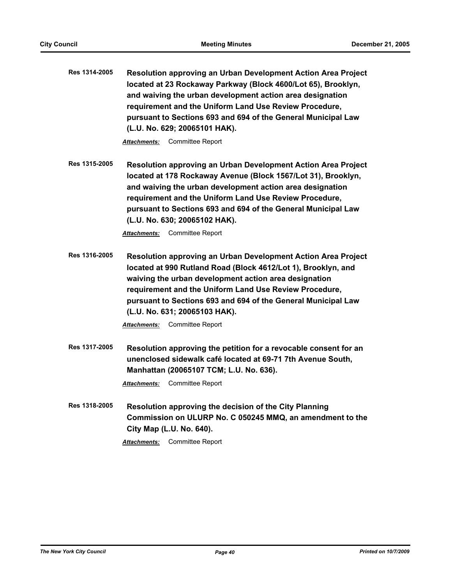**Res 1314-2005 Resolution approving an Urban Development Action Area Project located at 23 Rockaway Parkway (Block 4600/Lot 65), Brooklyn, and waiving the urban development action area designation requirement and the Uniform Land Use Review Procedure, pursuant to Sections 693 and 694 of the General Municipal Law (L.U. No. 629; 20065101 HAK).**

*Attachments:* Committee Report

**Res 1315-2005 Resolution approving an Urban Development Action Area Project located at 178 Rockaway Avenue (Block 1567/Lot 31), Brooklyn, and waiving the urban development action area designation requirement and the Uniform Land Use Review Procedure, pursuant to Sections 693 and 694 of the General Municipal Law (L.U. No. 630; 20065102 HAK).**

*Attachments:* Committee Report

**Res 1316-2005 Resolution approving an Urban Development Action Area Project located at 990 Rutland Road (Block 4612/Lot 1), Brooklyn, and waiving the urban development action area designation requirement and the Uniform Land Use Review Procedure, pursuant to Sections 693 and 694 of the General Municipal Law (L.U. No. 631; 20065103 HAK).**

*Attachments:* Committee Report

**Res 1317-2005 Resolution approving the petition for a revocable consent for an unenclosed sidewalk café located at 69-71 7th Avenue South, Manhattan (20065107 TCM; L.U. No. 636).**

*Attachments:* Committee Report

**Res 1318-2005 Resolution approving the decision of the City Planning Commission on ULURP No. C 050245 MMQ, an amendment to the City Map (L.U. No. 640).**

*Attachments:* Committee Report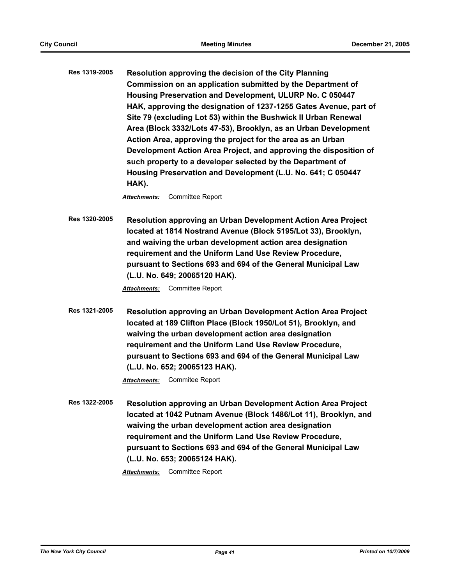**Res 1319-2005 Resolution approving the decision of the City Planning Commission on an application submitted by the Department of Housing Preservation and Development, ULURP No. C 050447 HAK, approving the designation of 1237-1255 Gates Avenue, part of Site 79 (excluding Lot 53) within the Bushwick II Urban Renewal Area (Block 3332/Lots 47-53), Brooklyn, as an Urban Development Action Area, approving the project for the area as an Urban Development Action Area Project, and approving the disposition of such property to a developer selected by the Department of Housing Preservation and Development (L.U. No. 641; C 050447 HAK).**

*Attachments:* Committee Report

**Res 1320-2005 Resolution approving an Urban Development Action Area Project located at 1814 Nostrand Avenue (Block 5195/Lot 33), Brooklyn, and waiving the urban development action area designation requirement and the Uniform Land Use Review Procedure, pursuant to Sections 693 and 694 of the General Municipal Law (L.U. No. 649; 20065120 HAK).**

*Attachments:* Committee Report

**Res 1321-2005 Resolution approving an Urban Development Action Area Project located at 189 Clifton Place (Block 1950/Lot 51), Brooklyn, and waiving the urban development action area designation requirement and the Uniform Land Use Review Procedure, pursuant to Sections 693 and 694 of the General Municipal Law (L.U. No. 652; 20065123 HAK).**

*Attachments:* Commitee Report

**Res 1322-2005 Resolution approving an Urban Development Action Area Project located at 1042 Putnam Avenue (Block 1486/Lot 11), Brooklyn, and waiving the urban development action area designation requirement and the Uniform Land Use Review Procedure, pursuant to Sections 693 and 694 of the General Municipal Law (L.U. No. 653; 20065124 HAK).**

*Attachments:* Committee Report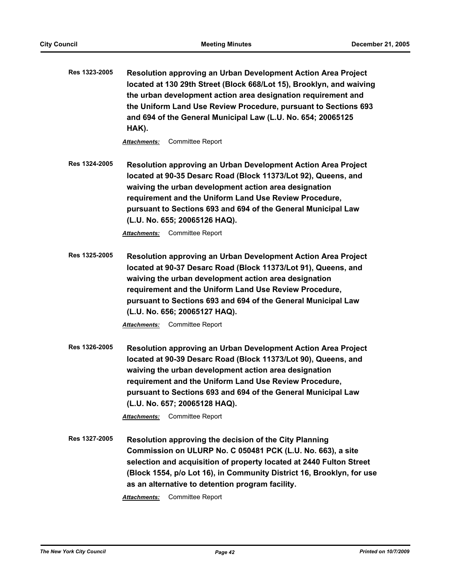**Res 1323-2005 Resolution approving an Urban Development Action Area Project located at 130 29th Street (Block 668/Lot 15), Brooklyn, and waiving the urban development action area designation requirement and the Uniform Land Use Review Procedure, pursuant to Sections 693 and 694 of the General Municipal Law (L.U. No. 654; 20065125 HAK).**

*Attachments:* Committee Report

**Res 1324-2005 Resolution approving an Urban Development Action Area Project located at 90-35 Desarc Road (Block 11373/Lot 92), Queens, and waiving the urban development action area designation requirement and the Uniform Land Use Review Procedure, pursuant to Sections 693 and 694 of the General Municipal Law (L.U. No. 655; 20065126 HAQ).**

*Attachments:* Committee Report

**Res 1325-2005 Resolution approving an Urban Development Action Area Project located at 90-37 Desarc Road (Block 11373/Lot 91), Queens, and waiving the urban development action area designation requirement and the Uniform Land Use Review Procedure, pursuant to Sections 693 and 694 of the General Municipal Law (L.U. No. 656; 20065127 HAQ).**

*Attachments:* Committee Report

**Res 1326-2005 Resolution approving an Urban Development Action Area Project located at 90-39 Desarc Road (Block 11373/Lot 90), Queens, and waiving the urban development action area designation requirement and the Uniform Land Use Review Procedure, pursuant to Sections 693 and 694 of the General Municipal Law (L.U. No. 657; 20065128 HAQ).**

*Attachments:* Committee Report

**Res 1327-2005 Resolution approving the decision of the City Planning Commission on ULURP No. C 050481 PCK (L.U. No. 663), a site selection and acquisition of property located at 2440 Fulton Street (Block 1554, p/o Lot 16), in Community District 16, Brooklyn, for use as an alternative to detention program facility.** *Attachments:* Committee Report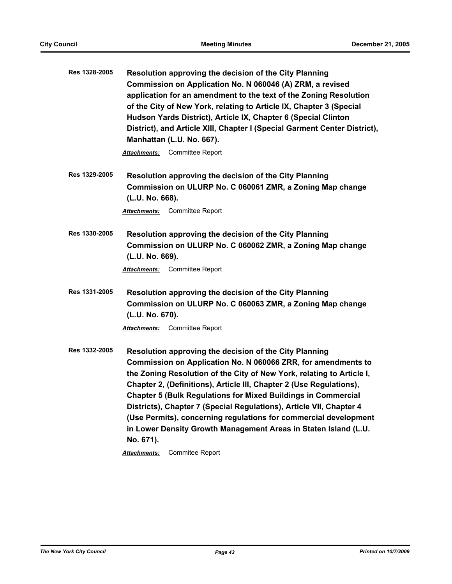| Res 1328-2005 | Resolution approving the decision of the City Planning<br>Commission on Application No. N 060046 (A) ZRM, a revised<br>application for an amendment to the text of the Zoning Resolution<br>of the City of New York, relating to Article IX, Chapter 3 (Special<br>Hudson Yards District), Article IX, Chapter 6 (Special Clinton<br>District), and Article XIII, Chapter I (Special Garment Center District),<br>Manhattan (L.U. No. 667).                                                                                                                                |  |
|---------------|----------------------------------------------------------------------------------------------------------------------------------------------------------------------------------------------------------------------------------------------------------------------------------------------------------------------------------------------------------------------------------------------------------------------------------------------------------------------------------------------------------------------------------------------------------------------------|--|
|               | <b>Attachments:</b> Committee Report                                                                                                                                                                                                                                                                                                                                                                                                                                                                                                                                       |  |
| Res 1329-2005 | Resolution approving the decision of the City Planning<br>Commission on ULURP No. C 060061 ZMR, a Zoning Map change<br>(L.U. No. 668).                                                                                                                                                                                                                                                                                                                                                                                                                                     |  |
|               | <b>Committee Report</b><br><u> Attachments:</u>                                                                                                                                                                                                                                                                                                                                                                                                                                                                                                                            |  |
| Res 1330-2005 | Resolution approving the decision of the City Planning<br>Commission on ULURP No. C 060062 ZMR, a Zoning Map change<br>(L.U. No. 669).                                                                                                                                                                                                                                                                                                                                                                                                                                     |  |
|               | Attachments: Committee Report                                                                                                                                                                                                                                                                                                                                                                                                                                                                                                                                              |  |
| Res 1331-2005 | Resolution approving the decision of the City Planning<br>Commission on ULURP No. C 060063 ZMR, a Zoning Map change<br>(L.U. No. 670).<br><b>Committee Report</b><br><u> Attachments:</u>                                                                                                                                                                                                                                                                                                                                                                                  |  |
| Res 1332-2005 | Resolution approving the decision of the City Planning<br>Commission on Application No. N 060066 ZRR, for amendments to<br>the Zoning Resolution of the City of New York, relating to Article I,<br>Chapter 2, (Definitions), Article III, Chapter 2 (Use Regulations),<br><b>Chapter 5 (Bulk Regulations for Mixed Buildings in Commercial</b><br>Districts), Chapter 7 (Special Regulations), Article VII, Chapter 4<br>(Use Permits), concerning regulations for commercial development<br>in Lower Density Growth Management Areas in Staten Island (L.U.<br>No. 671). |  |

*Attachments:* Commitee Report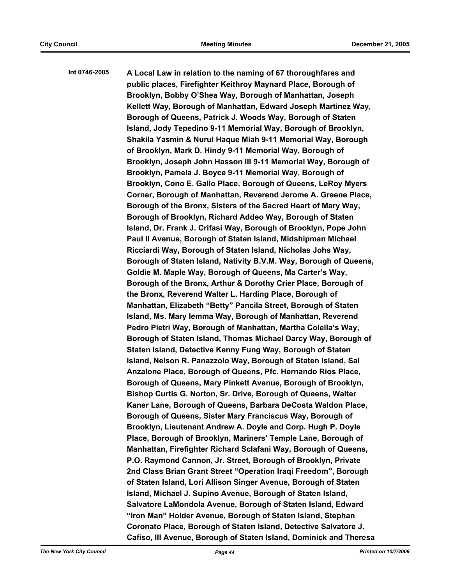**Int 0746-2005 A Local Law in relation to the naming of 67 thoroughfares and public places, Firefighter Keithroy Maynard Place, Borough of Brooklyn, Bobby O'Shea Way, Borough of Manhattan, Joseph Kellett Way, Borough of Manhattan, Edward Joseph Martinez Way, Borough of Queens, Patrick J. Woods Way, Borough of Staten Island, Jody Tepedino 9-11 Memorial Way, Borough of Brooklyn, Shakila Yasmin & Nurul Haque Miah 9-11 Memorial Way, Borough of Brooklyn, Mark D. Hindy 9-11 Memorial Way, Borough of Brooklyn, Joseph John Hasson III 9-11 Memorial Way, Borough of Brooklyn, Pamela J. Boyce 9-11 Memorial Way, Borough of Brooklyn, Cono E. Gallo Place, Borough of Queens, LeRoy Myers Corner, Borough of Manhattan, Reverend Jerome A. Greene Place, Borough of the Bronx, Sisters of the Sacred Heart of Mary Way, Borough of Brooklyn, Richard Addeo Way, Borough of Staten Island, Dr. Frank J. Crifasi Way, Borough of Brooklyn, Pope John Paul II Avenue, Borough of Staten Island, Midshipman Michael Ricciardi Way, Borough of Staten Island, Nicholas Johs Way, Borough of Staten Island, Nativity B.V.M. Way, Borough of Queens, Goldie M. Maple Way, Borough of Queens, Ma Carter's Way, Borough of the Bronx, Arthur & Dorothy Crier Place, Borough of the Bronx, Reverend Walter L. Harding Place, Borough of Manhattan, Elizabeth "Betty" Pancila Street, Borough of Staten Island, Ms. Mary Iemma Way, Borough of Manhattan, Reverend Pedro Pietri Way, Borough of Manhattan, Martha Colella's Way, Borough of Staten Island, Thomas Michael Darcy Way, Borough of Staten Island, Detective Kenny Fung Way, Borough of Staten Island, Nelson R. Panazzolo Way, Borough of Staten Island, Sal Anzalone Place, Borough of Queens, Pfc. Hernando Rios Place, Borough of Queens, Mary Pinkett Avenue, Borough of Brooklyn, Bishop Curtis G. Norton, Sr. Drive, Borough of Queens, Walter Kaner Lane, Borough of Queens, Barbara DeCosta Waldon Place, Borough of Queens, Sister Mary Franciscus Way, Borough of Brooklyn, Lieutenant Andrew A. Doyle and Corp. Hugh P. Doyle Place, Borough of Brooklyn, Mariners' Temple Lane, Borough of Manhattan, Firefighter Richard Sclafani Way, Borough of Queens, P.O. Raymond Cannon, Jr. Street, Borough of Brooklyn, Private 2nd Class Brian Grant Street "Operation Iraqi Freedom", Borough of Staten Island, Lori Allison Singer Avenue, Borough of Staten Island, Michael J. Supino Avenue, Borough of Staten Island, Salvatore LaMondola Avenue, Borough of Staten Island, Edward "Iron Man" Holder Avenue, Borough of Staten Island, Stephan Coronato Place, Borough of Staten Island, Detective Salvatore J. Cafiso, III Avenue, Borough of Staten Island, Dominick and Theresa**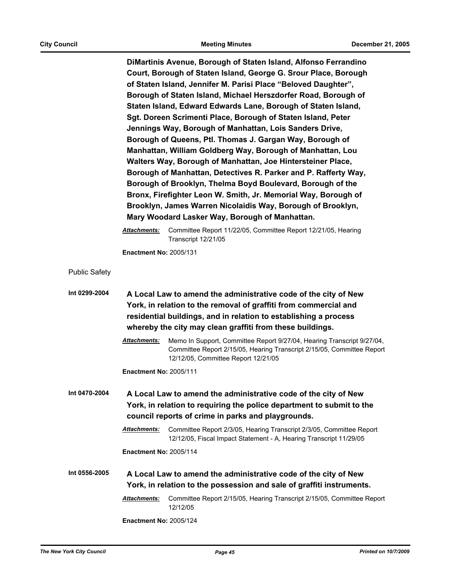**DiMartinis Avenue, Borough of Staten Island, Alfonso Ferrandino Court, Borough of Staten Island, George G. Srour Place, Borough of Staten Island, Jennifer M. Parisi Place "Beloved Daughter", Borough of Staten Island, Michael Herszdorfer Road, Borough of Staten Island, Edward Edwards Lane, Borough of Staten Island, Sgt. Doreen Scrimenti Place, Borough of Staten Island, Peter Jennings Way, Borough of Manhattan, Lois Sanders Drive, Borough of Queens, Ptl. Thomas J. Gargan Way, Borough of Manhattan, William Goldberg Way, Borough of Manhattan, Lou Walters Way, Borough of Manhattan, Joe Hintersteiner Place, Borough of Manhattan, Detectives R. Parker and P. Rafferty Way, Borough of Brooklyn, Thelma Boyd Boulevard, Borough of the Bronx, Firefighter Leon W. Smith, Jr. Memorial Way, Borough of Brooklyn, James Warren Nicolaidis Way, Borough of Brooklyn, Mary Woodard Lasker Way, Borough of Manhattan.**

*Attachments:* Committee Report 11/22/05, Committee Report 12/21/05, Hearing Transcript 12/21/05

**Enactment No:** 2005/131

Public Safety

**Int 0299-2004 A Local Law to amend the administrative code of the city of New York, in relation to the removal of graffiti from commercial and residential buildings, and in relation to establishing a process whereby the city may clean graffiti from these buildings.**

> *Attachments:* Memo In Support, Committee Report 9/27/04, Hearing Transcript 9/27/04, Committee Report 2/15/05, Hearing Transcript 2/15/05, Committee Report 12/12/05, Committee Report 12/21/05

**Enactment No:** 2005/111

**Int 0470-2004 A Local Law to amend the administrative code of the city of New York, in relation to requiring the police department to submit to the council reports of crime in parks and playgrounds.**

> *Attachments:* Committee Report 2/3/05, Hearing Transcript 2/3/05, Committee Report 12/12/05, Fiscal Impact Statement - A, Hearing Transcript 11/29/05

**Enactment No:** 2005/114

**Int 0556-2005 A Local Law to amend the administrative code of the city of New York, in relation to the possession and sale of graffiti instruments.**

> *Attachments:* Committee Report 2/15/05, Hearing Transcript 2/15/05, Committee Report 12/12/05

**Enactment No:** 2005/124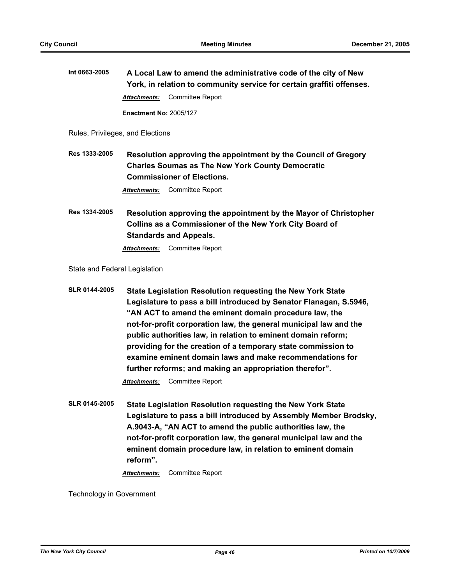**Int 0663-2005 A Local Law to amend the administrative code of the city of New York, in relation to community service for certain graffiti offenses.** *Attachments:* Committee Report

**Enactment No:** 2005/127

Rules, Privileges, and Elections

**Res 1333-2005 Resolution approving the appointment by the Council of Gregory Charles Soumas as The New York County Democratic Commissioner of Elections.**

*Attachments:* Committee Report

**Res 1334-2005 Resolution approving the appointment by the Mayor of Christopher Collins as a Commissioner of the New York City Board of Standards and Appeals.**

*Attachments:* Committee Report

State and Federal Legislation

```
SLR 0144-2005 State Legislation Resolution requesting the New York State 
   Legislature to pass a bill introduced by Senator Flanagan, S.5946, 
   "AN ACT to amend the eminent domain procedure law, the 
   not-for-profit corporation law, the general municipal law and the 
   public authorities law, in relation to eminent domain reform; 
   providing for the creation of a temporary state commission to 
   examine eminent domain laws and make recommendations for 
   further reforms; and making an appropriation therefor".
```
*Attachments:* Committee Report

**SLR 0145-2005 State Legislation Resolution requesting the New York State Legislature to pass a bill introduced by Assembly Member Brodsky, A.9043-A, "AN ACT to amend the public authorities law, the not-for-profit corporation law, the general municipal law and the eminent domain procedure law, in relation to eminent domain reform".**

*Attachments:* Committee Report

Technology in Government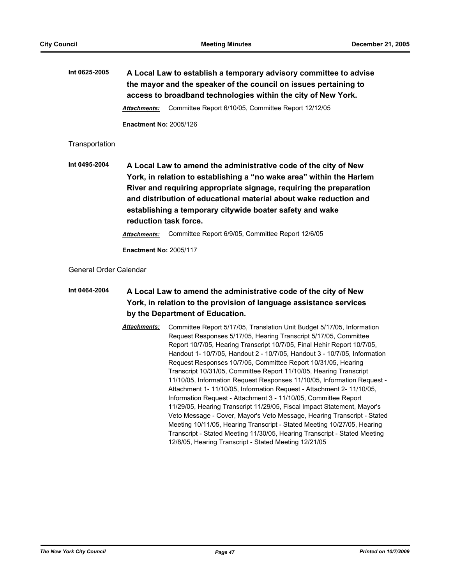**Int 0625-2005 A Local Law to establish a temporary advisory committee to advise the mayor and the speaker of the council on issues pertaining to access to broadband technologies within the city of New York.** *Attachments:* Committee Report 6/10/05, Committee Report 12/12/05 **Enactment No:** 2005/126

**Transportation** 

**Int 0495-2004 A Local Law to amend the administrative code of the city of New York, in relation to establishing a "no wake area" within the Harlem River and requiring appropriate signage, requiring the preparation and distribution of educational material about wake reduction and establishing a temporary citywide boater safety and wake reduction task force.**

*Attachments:* Committee Report 6/9/05, Committee Report 12/6/05

**Enactment No:** 2005/117

General Order Calendar

**Int 0464-2004 A Local Law to amend the administrative code of the city of New York, in relation to the provision of language assistance services by the Department of Education.**

> *Attachments:* Committee Report 5/17/05, Translation Unit Budget 5/17/05, Information Request Responses 5/17/05, Hearing Transcript 5/17/05, Committee Report 10/7/05, Hearing Transcript 10/7/05, Final Hehir Report 10/7/05, Handout 1- 10/7/05, Handout 2 - 10/7/05, Handout 3 - 10/7/05, Information Request Responses 10/7/05, Committee Report 10/31/05, Hearing Transcript 10/31/05, Committee Report 11/10/05, Hearing Transcript 11/10/05, Information Request Responses 11/10/05, Information Request - Attachment 1- 11/10/05, Information Request - Attachment 2- 11/10/05, Information Request - Attachment 3 - 11/10/05, Committee Report 11/29/05, Hearing Transcript 11/29/05, Fiscal Impact Statement, Mayor's Veto Message - Cover, Mayor's Veto Message, Hearing Transcript - Stated Meeting 10/11/05, Hearing Transcript - Stated Meeting 10/27/05, Hearing Transcript - Stated Meeting 11/30/05, Hearing Transcript - Stated Meeting 12/8/05, Hearing Transcript - Stated Meeting 12/21/05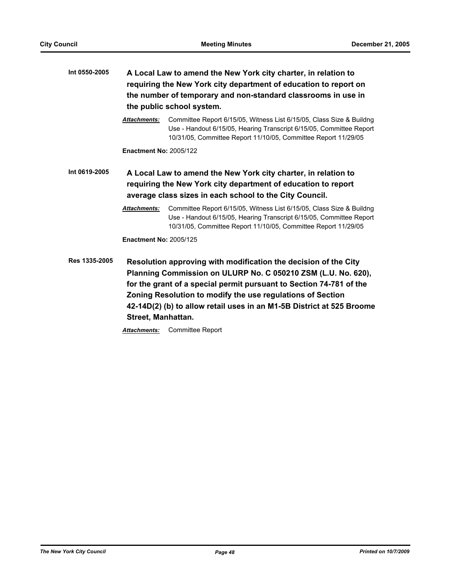| A Local Law to amend the New York city charter, in relation to<br>requiring the New York city department of education to report on<br>the number of temporary and non-standard classrooms in use in<br>the public school system. |                                                                                                                                                                                                                                                                                                                                                                                 |
|----------------------------------------------------------------------------------------------------------------------------------------------------------------------------------------------------------------------------------|---------------------------------------------------------------------------------------------------------------------------------------------------------------------------------------------------------------------------------------------------------------------------------------------------------------------------------------------------------------------------------|
| <b>Attachments:</b>                                                                                                                                                                                                              | Committee Report 6/15/05, Witness List 6/15/05, Class Size & Buildng<br>Use - Handout 6/15/05, Hearing Transcript 6/15/05, Committee Report<br>10/31/05, Committee Report 11/10/05, Committee Report 11/29/05                                                                                                                                                                   |
| <b>Enactment No: 2005/122</b>                                                                                                                                                                                                    |                                                                                                                                                                                                                                                                                                                                                                                 |
| A Local Law to amend the New York city charter, in relation to<br>requiring the New York city department of education to report<br>average class sizes in each school to the City Council.                                       |                                                                                                                                                                                                                                                                                                                                                                                 |
| <b>Attachments:</b>                                                                                                                                                                                                              | Committee Report 6/15/05, Witness List 6/15/05, Class Size & Buildng<br>Use - Handout 6/15/05, Hearing Transcript 6/15/05, Committee Report<br>10/31/05, Committee Report 11/10/05, Committee Report 11/29/05                                                                                                                                                                   |
| <b>Enactment No: 2005/125</b>                                                                                                                                                                                                    |                                                                                                                                                                                                                                                                                                                                                                                 |
| Street, Manhattan.                                                                                                                                                                                                               | Resolution approving with modification the decision of the City<br>Planning Commission on ULURP No. C 050210 ZSM (L.U. No. 620),<br>for the grant of a special permit pursuant to Section 74-781 of the<br>Zoning Resolution to modify the use regulations of Section<br>42-14D(2) (b) to allow retail uses in an M1-5B District at 525 Broome<br>Attachmente: Committoo Doport |
|                                                                                                                                                                                                                                  |                                                                                                                                                                                                                                                                                                                                                                                 |

*Attachments:* Committee Report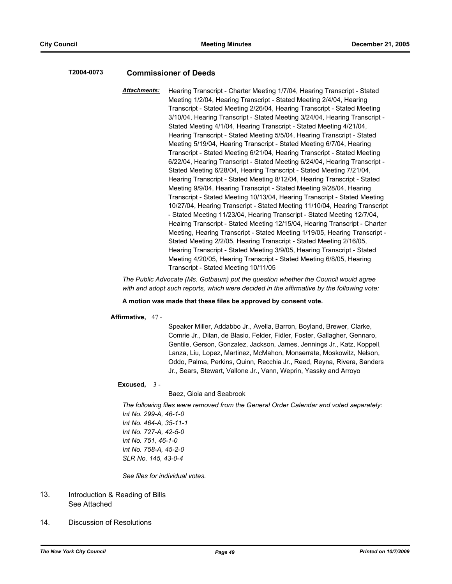### **T2004-0073 Commissioner of Deeds**

*Attachments:* Hearing Transcript - Charter Meeting 1/7/04, Hearing Transcript - Stated Meeting 1/2/04, Hearing Transcript - Stated Meeting 2/4/04, Hearing Transcript - Stated Meeting 2/26/04, Hearing Transcript - Stated Meeting 3/10/04, Hearing Transcript - Stated Meeting 3/24/04, Hearing Transcript - Stated Meeting 4/1/04, Hearing Transcript - Stated Meeting 4/21/04, Hearing Transcript - Stated Meeting 5/5/04, Hearing Transcript - Stated Meeting 5/19/04, Hearing Transcript - Stated Meeting 6/7/04, Hearing Transcript - Stated Meeting 6/21/04, Hearing Transcript - Stated Meeting 6/22/04, Hearing Transcript - Stated Meeting 6/24/04, Hearing Transcript - Stated Meeting 6/28/04, Hearing Transcript - Stated Meeting 7/21/04, Hearing Transcript - Stated Meeting 8/12/04, Hearing Transcript - Stated Meeting 9/9/04, Hearing Transcript - Stated Meeting 9/28/04, Hearing Transcript - Stated Meeting 10/13/04, Hearing Transcript - Stated Meeting 10/27/04, Hearing Transcript - Stated Meeting 11/10/04, Hearing Transcript - Stated Meeting 11/23/04, Hearing Transcript - Stated Meeting 12/7/04, Heairng Transcript - Stated Meeting 12/15/04, Hearing Transcript - Charter Meeting, Hearing Transcript - Stated Meeting 1/19/05, Hearing Transcript - Stated Meeting 2/2/05, Hearing Transcript - Stated Meeting 2/16/05, Hearing Transcript - Stated Meeting 3/9/05, Hearing Transcript - Stated Meeting 4/20/05, Hearing Transcript - Stated Meeting 6/8/05, Hearing Transcript - Stated Meeting 10/11/05

*The Public Advocate (Ms. Gotbaum) put the question whether the Council would agree with and adopt such reports, which were decided in the affirmative by the following vote:*

### **A motion was made that these files be approved by consent vote.**

**Affirmative,** 47 -

Speaker Miller, Addabbo Jr., Avella, Barron, Boyland, Brewer, Clarke, Comrie Jr., Dilan, de Blasio, Felder, Fidler, Foster, Gallagher, Gennaro, Gentile, Gerson, Gonzalez, Jackson, James, Jennings Jr., Katz, Koppell, Lanza, Liu, Lopez, Martinez, McMahon, Monserrate, Moskowitz, Nelson, Oddo, Palma, Perkins, Quinn, Recchia Jr., Reed, Reyna, Rivera, Sanders Jr., Sears, Stewart, Vallone Jr., Vann, Weprin, Yassky and Arroyo

### **Excused,** 3 -

Baez, Gioia and Seabrook

*The following files were removed from the General Order Calendar and voted separately: Int No. 299-A, 46-1-0 Int No. 464-A, 35-11-1 Int No. 727-A, 42-5-0 Int No. 751, 46-1-0 Int No. 758-A, 45-2-0 SLR No. 145, 43-0-4*

*See files for individual votes.*

#### Introduction & Reading of Bills See Attached 13.

14. Discussion of Resolutions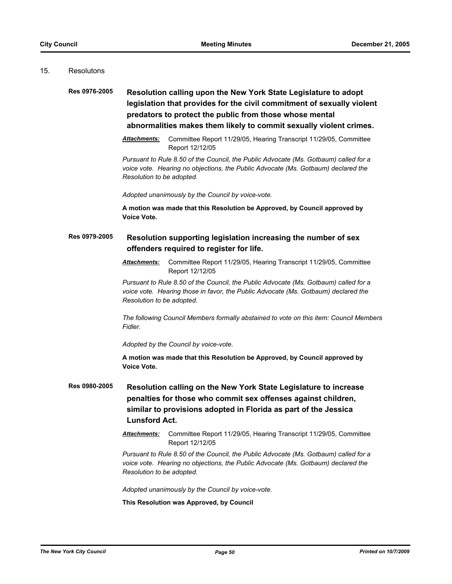### 15. Resolutons

# **Res 0976-2005 Resolution calling upon the New York State Legislature to adopt legislation that provides for the civil commitment of sexually violent predators to protect the public from those whose mental abnormalities makes them likely to commit sexually violent crimes.**

*Attachments:* Committee Report 11/29/05, Hearing Transcript 11/29/05, Committee Report 12/12/05

*Pursuant to Rule 8.50 of the Council, the Public Advocate (Ms. Gotbaum) called for a voice vote. Hearing no objections, the Public Advocate (Ms. Gotbaum) declared the Resolution to be adopted.*

*Adopted unanimously by the Council by voice-vote.*

**A motion was made that this Resolution be Approved, by Council approved by Voice Vote.**

# **Res 0979-2005 Resolution supporting legislation increasing the number of sex offenders required to register for life.**

*Attachments:* Committee Report 11/29/05, Hearing Transcript 11/29/05, Committee Report 12/12/05

*Pursuant to Rule 8.50 of the Council, the Public Advocate (Ms. Gotbaum) called for a voice vote. Hearing those in favor, the Public Advocate (Ms. Gotbaum) declared the Resolution to be adopted.*

*The following Council Members formally abstained to vote on this item: Council Members Fidler.*

*Adopted by the Council by voice-vote.*

**A motion was made that this Resolution be Approved, by Council approved by Voice Vote.**

**Res 0980-2005 Resolution calling on the New York State Legislature to increase penalties for those who commit sex offenses against children, similar to provisions adopted in Florida as part of the Jessica Lunsford Act.**

> *Attachments:* Committee Report 11/29/05, Hearing Transcript 11/29/05, Committee Report 12/12/05

> *Pursuant to Rule 8.50 of the Council, the Public Advocate (Ms. Gotbaum) called for a voice vote. Hearing no objections, the Public Advocate (Ms. Gotbaum) declared the Resolution to be adopted.*

*Adopted unanimously by the Council by voice-vote.*

**This Resolution was Approved, by Council**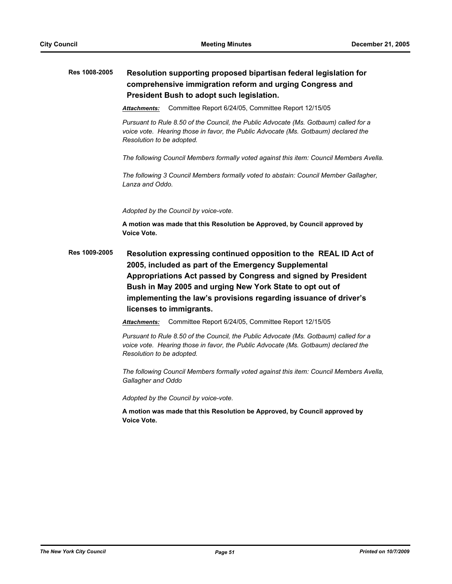# **Res 1008-2005 Resolution supporting proposed bipartisan federal legislation for comprehensive immigration reform and urging Congress and President Bush to adopt such legislation.**

*Attachments:* Committee Report 6/24/05, Committee Report 12/15/05

*Pursuant to Rule 8.50 of the Council, the Public Advocate (Ms. Gotbaum) called for a voice vote. Hearing those in favor, the Public Advocate (Ms. Gotbaum) declared the Resolution to be adopted.*

*The following Council Members formally voted against this item: Council Members Avella.*

*The following 3 Council Members formally voted to abstain: Council Member Gallagher, Lanza and Oddo.*

*Adopted by the Council by voice-vote.*

**A motion was made that this Resolution be Approved, by Council approved by Voice Vote.**

**Res 1009-2005 Resolution expressing continued opposition to the REAL ID Act of 2005, included as part of the Emergency Supplemental Appropriations Act passed by Congress and signed by President Bush in May 2005 and urging New York State to opt out of implementing the law's provisions regarding issuance of driver's licenses to immigrants.**

*Attachments:* Committee Report 6/24/05, Committee Report 12/15/05

*Pursuant to Rule 8.50 of the Council, the Public Advocate (Ms. Gotbaum) called for a voice vote. Hearing those in favor, the Public Advocate (Ms. Gotbaum) declared the Resolution to be adopted.*

*The following Council Members formally voted against this item: Council Members Avella, Gallagher and Oddo*

*Adopted by the Council by voice-vote.*

**A motion was made that this Resolution be Approved, by Council approved by Voice Vote.**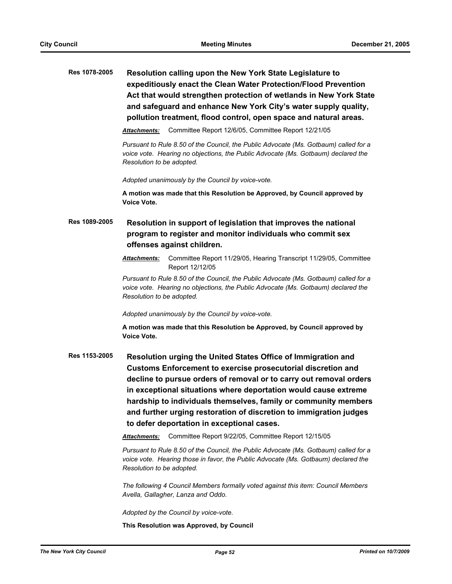**Res 1078-2005 Resolution calling upon the New York State Legislature to expeditiously enact the Clean Water Protection/Flood Prevention Act that would strengthen protection of wetlands in New York State and safeguard and enhance New York City's water supply quality, pollution treatment, flood control, open space and natural areas.**

*Attachments:* Committee Report 12/6/05, Committee Report 12/21/05

*Pursuant to Rule 8.50 of the Council, the Public Advocate (Ms. Gotbaum) called for a voice vote. Hearing no objections, the Public Advocate (Ms. Gotbaum) declared the Resolution to be adopted.*

*Adopted unanimously by the Council by voice-vote.*

**A motion was made that this Resolution be Approved, by Council approved by Voice Vote.**

# **Res 1089-2005 Resolution in support of legislation that improves the national program to register and monitor individuals who commit sex offenses against children.**

*Attachments:* Committee Report 11/29/05, Hearing Transcript 11/29/05, Committee Report 12/12/05

*Pursuant to Rule 8.50 of the Council, the Public Advocate (Ms. Gotbaum) called for a voice vote. Hearing no objections, the Public Advocate (Ms. Gotbaum) declared the Resolution to be adopted.*

*Adopted unanimously by the Council by voice-vote.*

**A motion was made that this Resolution be Approved, by Council approved by Voice Vote.**

**Res 1153-2005 Resolution urging the United States Office of Immigration and Customs Enforcement to exercise prosecutorial discretion and decline to pursue orders of removal or to carry out removal orders in exceptional situations where deportation would cause extreme hardship to individuals themselves, family or community members and further urging restoration of discretion to immigration judges to defer deportation in exceptional cases.**

*Attachments:* Committee Report 9/22/05, Committee Report 12/15/05

*Pursuant to Rule 8.50 of the Council, the Public Advocate (Ms. Gotbaum) called for a voice vote. Hearing those in favor, the Public Advocate (Ms. Gotbaum) declared the Resolution to be adopted.*

*The following 4 Council Members formally voted against this item: Council Members Avella, Gallagher, Lanza and Oddo.*

*Adopted by the Council by voice-vote.*

**This Resolution was Approved, by Council**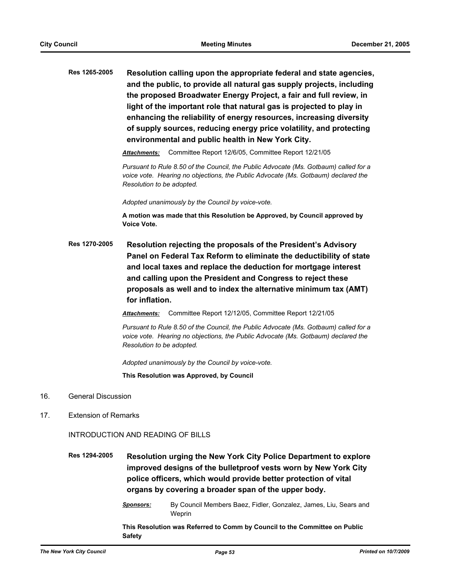**Res 1265-2005 Resolution calling upon the appropriate federal and state agencies, and the public, to provide all natural gas supply projects, including the proposed Broadwater Energy Project, a fair and full review, in light of the important role that natural gas is projected to play in enhancing the reliability of energy resources, increasing diversity of supply sources, reducing energy price volatility, and protecting environmental and public health in New York City.**

*Attachments:* Committee Report 12/6/05, Committee Report 12/21/05

*Pursuant to Rule 8.50 of the Council, the Public Advocate (Ms. Gotbaum) called for a voice vote. Hearing no objections, the Public Advocate (Ms. Gotbaum) declared the Resolution to be adopted.*

*Adopted unanimously by the Council by voice-vote.*

**A motion was made that this Resolution be Approved, by Council approved by Voice Vote.**

**Res 1270-2005 Resolution rejecting the proposals of the President's Advisory Panel on Federal Tax Reform to eliminate the deductibility of state and local taxes and replace the deduction for mortgage interest and calling upon the President and Congress to reject these proposals as well and to index the alternative minimum tax (AMT) for inflation.**

*Attachments:* Committee Report 12/12/05, Committee Report 12/21/05

*Pursuant to Rule 8.50 of the Council, the Public Advocate (Ms. Gotbaum) called for a voice vote. Hearing no objections, the Public Advocate (Ms. Gotbaum) declared the Resolution to be adopted.*

*Adopted unanimously by the Council by voice-vote.*

**This Resolution was Approved, by Council**

- 16. General Discussion
- 17. Extension of Remarks

INTRODUCTION AND READING OF BILLS

**Res 1294-2005 Resolution urging the New York City Police Department to explore improved designs of the bulletproof vests worn by New York City police officers, which would provide better protection of vital organs by covering a broader span of the upper body.**

> *Sponsors:* By Council Members Baez, Fidler, Gonzalez, James, Liu, Sears and Weprin

**This Resolution was Referred to Comm by Council to the Committee on Public Safety**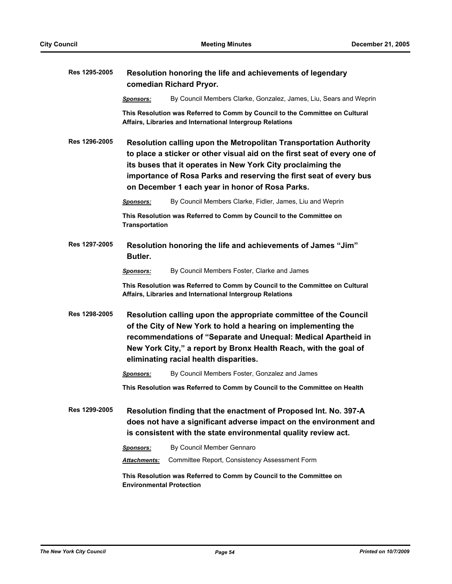| Res 1295-2005 | Resolution honoring the life and achievements of legendary<br>comedian Richard Pryor.                                                                                                                                                                                                                                                 |                                                                                                                                           |
|---------------|---------------------------------------------------------------------------------------------------------------------------------------------------------------------------------------------------------------------------------------------------------------------------------------------------------------------------------------|-------------------------------------------------------------------------------------------------------------------------------------------|
|               | <u>Sponsors:</u>                                                                                                                                                                                                                                                                                                                      | By Council Members Clarke, Gonzalez, James, Liu, Sears and Weprin                                                                         |
|               |                                                                                                                                                                                                                                                                                                                                       | This Resolution was Referred to Comm by Council to the Committee on Cultural<br>Affairs, Libraries and International Intergroup Relations |
| Res 1296-2005 | Resolution calling upon the Metropolitan Transportation Authority<br>to place a sticker or other visual aid on the first seat of every one of<br>its buses that it operates in New York City proclaiming the<br>importance of Rosa Parks and reserving the first seat of every bus<br>on December 1 each year in honor of Rosa Parks. |                                                                                                                                           |
|               | <b>Sponsors:</b>                                                                                                                                                                                                                                                                                                                      | By Council Members Clarke, Fidler, James, Liu and Weprin                                                                                  |
|               | <b>Transportation</b>                                                                                                                                                                                                                                                                                                                 | This Resolution was Referred to Comm by Council to the Committee on                                                                       |
| Res 1297-2005 | Resolution honoring the life and achievements of James "Jim"<br>Butler.                                                                                                                                                                                                                                                               |                                                                                                                                           |
|               | <b>Sponsors:</b>                                                                                                                                                                                                                                                                                                                      | By Council Members Foster, Clarke and James                                                                                               |
|               |                                                                                                                                                                                                                                                                                                                                       | This Resolution was Referred to Comm by Council to the Committee on Cultural<br>Affairs, Libraries and International Intergroup Relations |
| Res 1298-2005 | Resolution calling upon the appropriate committee of the Council<br>of the City of New York to hold a hearing on implementing the<br>recommendations of "Separate and Unequal: Medical Apartheid in<br>New York City," a report by Bronx Health Reach, with the goal of<br>eliminating racial health disparities.                     |                                                                                                                                           |
|               | <b>Sponsors:</b>                                                                                                                                                                                                                                                                                                                      | By Council Members Foster, Gonzalez and James                                                                                             |
|               |                                                                                                                                                                                                                                                                                                                                       | This Resolution was Referred to Comm by Council to the Committee on Health                                                                |
| Res 1299-2005 | Resolution finding that the enactment of Proposed Int. No. 397-A<br>does not have a significant adverse impact on the environment and<br>is consistent with the state environmental quality review act.                                                                                                                               |                                                                                                                                           |
|               | <b>Sponsors:</b>                                                                                                                                                                                                                                                                                                                      | By Council Member Gennaro                                                                                                                 |
|               | <b>Attachments:</b>                                                                                                                                                                                                                                                                                                                   | Committee Report, Consistency Assessment Form                                                                                             |
|               | <b>Environmental Protection</b>                                                                                                                                                                                                                                                                                                       | This Resolution was Referred to Comm by Council to the Committee on                                                                       |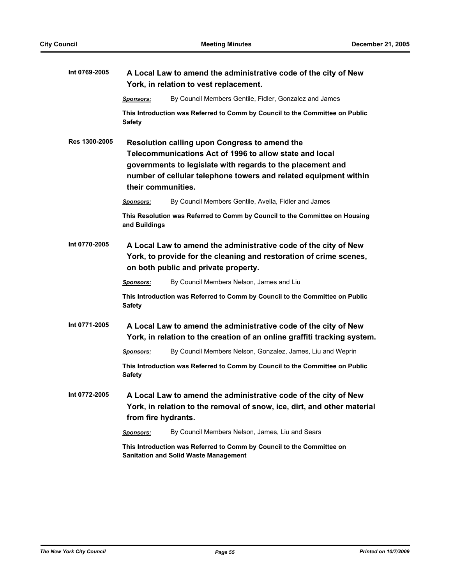| Int 0769-2005        | A Local Law to amend the administrative code of the city of New                                                                                                               |                                                                                                                                                                                                                                            |  |
|----------------------|-------------------------------------------------------------------------------------------------------------------------------------------------------------------------------|--------------------------------------------------------------------------------------------------------------------------------------------------------------------------------------------------------------------------------------------|--|
|                      | York, in relation to vest replacement.                                                                                                                                        |                                                                                                                                                                                                                                            |  |
|                      | <b>Sponsors:</b>                                                                                                                                                              | By Council Members Gentile, Fidler, Gonzalez and James                                                                                                                                                                                     |  |
|                      | <b>Safety</b>                                                                                                                                                                 | This Introduction was Referred to Comm by Council to the Committee on Public                                                                                                                                                               |  |
| <b>Res 1300-2005</b> | their communities.                                                                                                                                                            | Resolution calling upon Congress to amend the<br>Telecommunications Act of 1996 to allow state and local<br>governments to legislate with regards to the placement and<br>number of cellular telephone towers and related equipment within |  |
|                      | <b>Sponsors:</b>                                                                                                                                                              | By Council Members Gentile, Avella, Fidler and James                                                                                                                                                                                       |  |
|                      | and Buildings                                                                                                                                                                 | This Resolution was Referred to Comm by Council to the Committee on Housing                                                                                                                                                                |  |
| Int 0770-2005        | A Local Law to amend the administrative code of the city of New<br>York, to provide for the cleaning and restoration of crime scenes,<br>on both public and private property. |                                                                                                                                                                                                                                            |  |
|                      | <b>Sponsors:</b>                                                                                                                                                              | By Council Members Nelson, James and Liu                                                                                                                                                                                                   |  |
|                      | <b>Safety</b>                                                                                                                                                                 | This Introduction was Referred to Comm by Council to the Committee on Public                                                                                                                                                               |  |
| Int 0771-2005        | A Local Law to amend the administrative code of the city of New<br>York, in relation to the creation of an online graffiti tracking system.                                   |                                                                                                                                                                                                                                            |  |
|                      | Sponsors:                                                                                                                                                                     | By Council Members Nelson, Gonzalez, James, Liu and Weprin                                                                                                                                                                                 |  |
|                      | <b>Safety</b>                                                                                                                                                                 | This Introduction was Referred to Comm by Council to the Committee on Public                                                                                                                                                               |  |
| Int 0772-2005        | from fire hydrants.                                                                                                                                                           | A Local Law to amend the administrative code of the city of New<br>York, in relation to the removal of snow, ice, dirt, and other material                                                                                                 |  |
|                      | <b>Sponsors:</b>                                                                                                                                                              | By Council Members Nelson, James, Liu and Sears                                                                                                                                                                                            |  |
|                      | This Introduction was Referred to Comm by Council to the Committee on<br><b>Sanitation and Solid Waste Management</b>                                                         |                                                                                                                                                                                                                                            |  |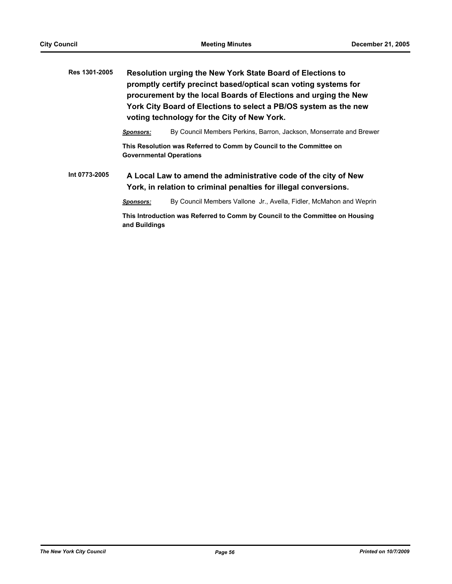| Res 1301-2005 | Resolution urging the New York State Board of Elections to<br>promptly certify precinct based/optical scan voting systems for<br>procurement by the local Boards of Elections and urging the New<br>York City Board of Elections to select a PB/OS system as the new<br>voting technology for the City of New York. |                                                                                                                                     |  |
|---------------|---------------------------------------------------------------------------------------------------------------------------------------------------------------------------------------------------------------------------------------------------------------------------------------------------------------------|-------------------------------------------------------------------------------------------------------------------------------------|--|
|               | Sponsors:                                                                                                                                                                                                                                                                                                           | By Council Members Perkins, Barron, Jackson, Monserrate and Brewer                                                                  |  |
|               | This Resolution was Referred to Comm by Council to the Committee on<br><b>Governmental Operations</b>                                                                                                                                                                                                               |                                                                                                                                     |  |
| Int 0773-2005 |                                                                                                                                                                                                                                                                                                                     | A Local Law to amend the administrative code of the city of New<br>York, in relation to criminal penalties for illegal conversions. |  |

*Sponsors:* By Council Members Vallone Jr., Avella, Fidler, McMahon and Weprin

**This Introduction was Referred to Comm by Council to the Committee on Housing and Buildings**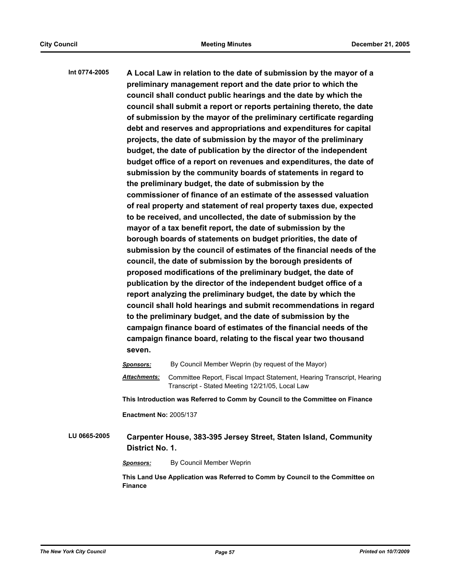**Int 0774-2005 A Local Law in relation to the date of submission by the mayor of a preliminary management report and the date prior to which the council shall conduct public hearings and the date by which the council shall submit a report or reports pertaining thereto, the date of submission by the mayor of the preliminary certificate regarding debt and reserves and appropriations and expenditures for capital projects, the date of submission by the mayor of the preliminary budget, the date of publication by the director of the independent budget office of a report on revenues and expenditures, the date of submission by the community boards of statements in regard to the preliminary budget, the date of submission by the commissioner of finance of an estimate of the assessed valuation of real property and statement of real property taxes due, expected to be received, and uncollected, the date of submission by the mayor of a tax benefit report, the date of submission by the borough boards of statements on budget priorities, the date of submission by the council of estimates of the financial needs of the council, the date of submission by the borough presidents of proposed modifications of the preliminary budget, the date of publication by the director of the independent budget office of a report analyzing the preliminary budget, the date by which the council shall hold hearings and submit recommendations in regard to the preliminary budget, and the date of submission by the campaign finance board of estimates of the financial needs of the campaign finance board, relating to the fiscal year two thousand seven.**

*Sponsors:* By Council Member Weprin (by request of the Mayor) *Attachments:* Committee Report, Fiscal Impact Statement, Hearing Transcript, Hearing Transcript - Stated Meeting 12/21/05, Local Law **This Introduction was Referred to Comm by Council to the Committee on Finance Enactment No:** 2005/137 **LU 0665-2005 Carpenter House, 383-395 Jersey Street, Staten Island, Community District No. 1. Sponsors:** By Council Member Weprin

**This Land Use Application was Referred to Comm by Council to the Committee on Finance**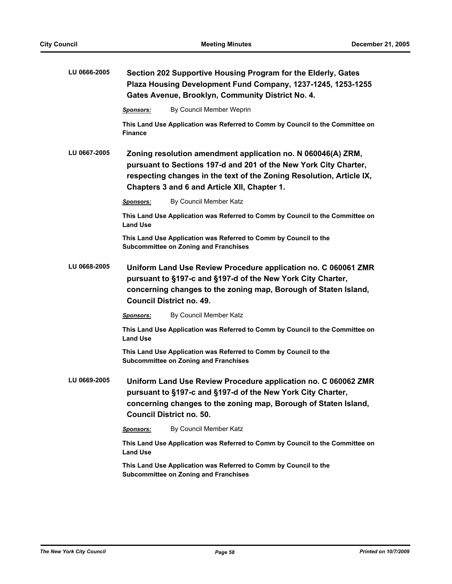| LU 0666-2005 | Section 202 Supportive Housing Program for the Elderly, Gates<br>Plaza Housing Development Fund Company, 1237-1245, 1253-1255<br>Gates Avenue, Brooklyn, Community District No. 4.                                                                       |  |  |
|--------------|----------------------------------------------------------------------------------------------------------------------------------------------------------------------------------------------------------------------------------------------------------|--|--|
|              | By Council Member Weprin<br><b>Sponsors:</b>                                                                                                                                                                                                             |  |  |
|              | This Land Use Application was Referred to Comm by Council to the Committee on<br><b>Finance</b>                                                                                                                                                          |  |  |
| LU 0667-2005 | Zoning resolution amendment application no. N 060046(A) ZRM,<br>pursuant to Sections 197-d and 201 of the New York City Charter,<br>respecting changes in the text of the Zoning Resolution, Article IX,<br>Chapters 3 and 6 and Article XII, Chapter 1. |  |  |
|              | By Council Member Katz<br>Sponsors:                                                                                                                                                                                                                      |  |  |
|              | This Land Use Application was Referred to Comm by Council to the Committee on<br><b>Land Use</b>                                                                                                                                                         |  |  |
|              | This Land Use Application was Referred to Comm by Council to the<br><b>Subcommittee on Zoning and Franchises</b>                                                                                                                                         |  |  |
| LU 0668-2005 | Uniform Land Use Review Procedure application no. C 060061 ZMR<br>pursuant to §197-c and §197-d of the New York City Charter,<br>concerning changes to the zoning map, Borough of Staten Island,<br><b>Council District no. 49.</b>                      |  |  |
|              | By Council Member Katz<br>Sponsors:                                                                                                                                                                                                                      |  |  |
|              | This Land Use Application was Referred to Comm by Council to the Committee on<br><b>Land Use</b>                                                                                                                                                         |  |  |
|              | This Land Use Application was Referred to Comm by Council to the<br><b>Subcommittee on Zoning and Franchises</b>                                                                                                                                         |  |  |
| LU 0669-2005 | Uniform Land Use Review Procedure application no. C 060062 ZMR<br>pursuant to §197-c and §197-d of the New York City Charter,<br>concerning changes to the zoning map, Borough of Staten Island,<br><b>Council District no. 50.</b>                      |  |  |
|              | By Council Member Katz<br><b>Sponsors:</b>                                                                                                                                                                                                               |  |  |
|              | This Land Use Application was Referred to Comm by Council to the Committee on<br><b>Land Use</b>                                                                                                                                                         |  |  |
|              | This Land Use Application was Referred to Comm by Council to the<br><b>Subcommittee on Zoning and Franchises</b>                                                                                                                                         |  |  |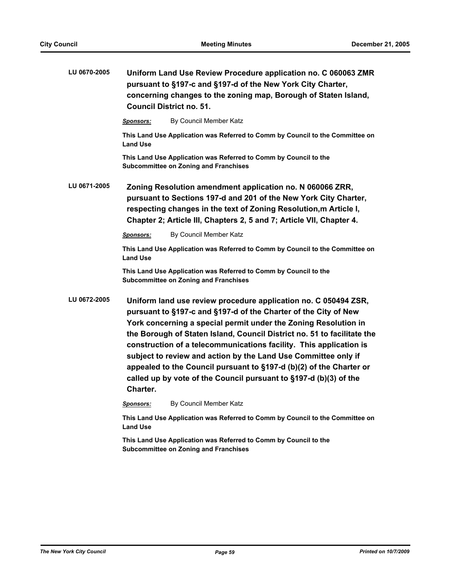| LU 0670-2005 | Uniform Land Use Review Procedure application no. C 060063 ZMR<br>pursuant to §197-c and §197-d of the New York City Charter,<br>concerning changes to the zoning map, Borough of Staten Island,<br><b>Council District no. 51.</b>                                                                                                                                                                                                                                                                                                                                              |                                                                                                                  |  |
|--------------|----------------------------------------------------------------------------------------------------------------------------------------------------------------------------------------------------------------------------------------------------------------------------------------------------------------------------------------------------------------------------------------------------------------------------------------------------------------------------------------------------------------------------------------------------------------------------------|------------------------------------------------------------------------------------------------------------------|--|
|              | Sponsors:                                                                                                                                                                                                                                                                                                                                                                                                                                                                                                                                                                        | By Council Member Katz                                                                                           |  |
|              | <b>Land Use</b>                                                                                                                                                                                                                                                                                                                                                                                                                                                                                                                                                                  | This Land Use Application was Referred to Comm by Council to the Committee on                                    |  |
|              |                                                                                                                                                                                                                                                                                                                                                                                                                                                                                                                                                                                  | This Land Use Application was Referred to Comm by Council to the<br><b>Subcommittee on Zoning and Franchises</b> |  |
| LU 0671-2005 | Zoning Resolution amendment application no. N 060066 ZRR,<br>pursuant to Sections 197-d and 201 of the New York City Charter,<br>respecting changes in the text of Zoning Resolution, m Article I,<br>Chapter 2; Article III, Chapters 2, 5 and 7; Article VII, Chapter 4.                                                                                                                                                                                                                                                                                                       |                                                                                                                  |  |
|              | <b>Sponsors:</b>                                                                                                                                                                                                                                                                                                                                                                                                                                                                                                                                                                 | By Council Member Katz                                                                                           |  |
|              | <b>Land Use</b>                                                                                                                                                                                                                                                                                                                                                                                                                                                                                                                                                                  | This Land Use Application was Referred to Comm by Council to the Committee on                                    |  |
|              |                                                                                                                                                                                                                                                                                                                                                                                                                                                                                                                                                                                  | This Land Use Application was Referred to Comm by Council to the<br><b>Subcommittee on Zoning and Franchises</b> |  |
| LU 0672-2005 | Uniform land use review procedure application no. C 050494 ZSR,<br>pursuant to §197-c and §197-d of the Charter of the City of New<br>York concerning a special permit under the Zoning Resolution in<br>the Borough of Staten Island, Council District no. 51 to facilitate the<br>construction of a telecommunications facility. This application is<br>subject to review and action by the Land Use Committee only if<br>appealed to the Council pursuant to §197-d (b)(2) of the Charter or<br>called up by vote of the Council pursuant to §197-d (b)(3) of the<br>Charter. |                                                                                                                  |  |
|              | <u>Sponsors:</u>                                                                                                                                                                                                                                                                                                                                                                                                                                                                                                                                                                 | By Council Member Katz                                                                                           |  |
|              | <b>Land Use</b>                                                                                                                                                                                                                                                                                                                                                                                                                                                                                                                                                                  | This Land Use Application was Referred to Comm by Council to the Committee on                                    |  |
|              | This Land Use Application was Referred to Comm by Council to the<br><b>Subcommittee on Zoning and Franchises</b>                                                                                                                                                                                                                                                                                                                                                                                                                                                                 |                                                                                                                  |  |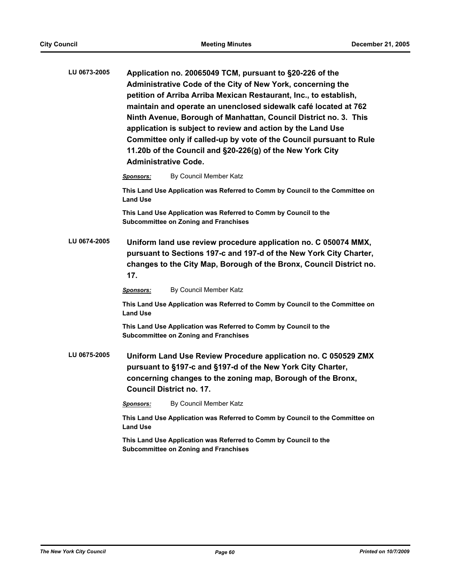| LU 0673-2005 | Application no. 20065049 TCM, pursuant to §20-226 of the<br>Administrative Code of the City of New York, concerning the<br>petition of Arriba Arriba Mexican Restaurant, Inc., to establish,<br>maintain and operate an unenclosed sidewalk café located at 762<br>Ninth Avenue, Borough of Manhattan, Council District no. 3. This<br>application is subject to review and action by the Land Use<br>Committee only if called-up by vote of the Council pursuant to Rule<br>11.20b of the Council and §20-226(g) of the New York City<br><b>Administrative Code.</b> |                                                                                                                                                                                                              |  |
|--------------|-----------------------------------------------------------------------------------------------------------------------------------------------------------------------------------------------------------------------------------------------------------------------------------------------------------------------------------------------------------------------------------------------------------------------------------------------------------------------------------------------------------------------------------------------------------------------|--------------------------------------------------------------------------------------------------------------------------------------------------------------------------------------------------------------|--|
|              | <b>Sponsors:</b>                                                                                                                                                                                                                                                                                                                                                                                                                                                                                                                                                      | By Council Member Katz                                                                                                                                                                                       |  |
|              | <b>Land Use</b>                                                                                                                                                                                                                                                                                                                                                                                                                                                                                                                                                       | This Land Use Application was Referred to Comm by Council to the Committee on                                                                                                                                |  |
|              |                                                                                                                                                                                                                                                                                                                                                                                                                                                                                                                                                                       | This Land Use Application was Referred to Comm by Council to the<br><b>Subcommittee on Zoning and Franchises</b>                                                                                             |  |
| LU 0674-2005 | 17.                                                                                                                                                                                                                                                                                                                                                                                                                                                                                                                                                                   | Uniform land use review procedure application no. C 050074 MMX,<br>pursuant to Sections 197-c and 197-d of the New York City Charter,<br>changes to the City Map, Borough of the Bronx, Council District no. |  |
|              | <u>Sponsors:</u>                                                                                                                                                                                                                                                                                                                                                                                                                                                                                                                                                      | By Council Member Katz                                                                                                                                                                                       |  |
|              | <b>Land Use</b>                                                                                                                                                                                                                                                                                                                                                                                                                                                                                                                                                       | This Land Use Application was Referred to Comm by Council to the Committee on                                                                                                                                |  |
|              |                                                                                                                                                                                                                                                                                                                                                                                                                                                                                                                                                                       | This Land Use Application was Referred to Comm by Council to the<br><b>Subcommittee on Zoning and Franchises</b>                                                                                             |  |
| LU 0675-2005 | Uniform Land Use Review Procedure application no. C 050529 ZMX<br>pursuant to §197-c and §197-d of the New York City Charter,<br>concerning changes to the zoning map, Borough of the Bronx,<br><b>Council District no. 17.</b>                                                                                                                                                                                                                                                                                                                                       |                                                                                                                                                                                                              |  |
|              | <u>Sponsors:</u>                                                                                                                                                                                                                                                                                                                                                                                                                                                                                                                                                      | By Council Member Katz                                                                                                                                                                                       |  |
|              | This Land Use Application was Referred to Comm by Council to the Committee on<br><b>Land Use</b>                                                                                                                                                                                                                                                                                                                                                                                                                                                                      |                                                                                                                                                                                                              |  |
|              |                                                                                                                                                                                                                                                                                                                                                                                                                                                                                                                                                                       | This Land Use Application was Referred to Comm by Council to the<br><b>Subcommittee on Zoning and Franchises</b>                                                                                             |  |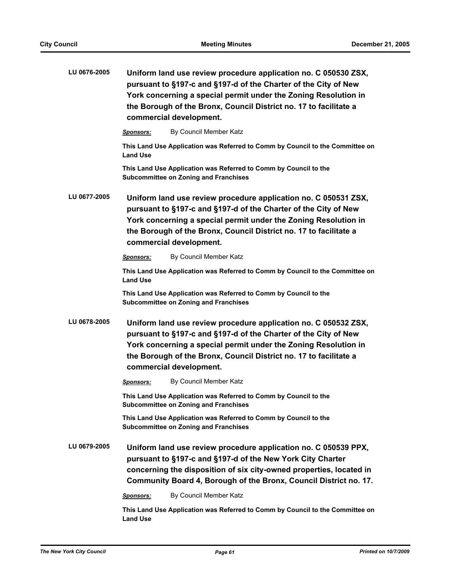| LU 0676-2005 | Uniform land use review procedure application no. C 050530 ZSX,<br>pursuant to §197-c and §197-d of the Charter of the City of New<br>York concerning a special permit under the Zoning Resolution in<br>the Borough of the Bronx, Council District no. 17 to facilitate a<br>commercial development. |                                                                                                                                                                                                                                                                                                       |  |
|--------------|-------------------------------------------------------------------------------------------------------------------------------------------------------------------------------------------------------------------------------------------------------------------------------------------------------|-------------------------------------------------------------------------------------------------------------------------------------------------------------------------------------------------------------------------------------------------------------------------------------------------------|--|
|              | <b>Sponsors:</b>                                                                                                                                                                                                                                                                                      | By Council Member Katz                                                                                                                                                                                                                                                                                |  |
|              | <b>Land Use</b>                                                                                                                                                                                                                                                                                       | This Land Use Application was Referred to Comm by Council to the Committee on                                                                                                                                                                                                                         |  |
|              |                                                                                                                                                                                                                                                                                                       | This Land Use Application was Referred to Comm by Council to the<br><b>Subcommittee on Zoning and Franchises</b>                                                                                                                                                                                      |  |
| LU 0677-2005 | Uniform land use review procedure application no. C 050531 ZSX,<br>pursuant to §197-c and §197-d of the Charter of the City of New<br>York concerning a special permit under the Zoning Resolution in<br>the Borough of the Bronx, Council District no. 17 to facilitate a<br>commercial development. |                                                                                                                                                                                                                                                                                                       |  |
|              | <b>Sponsors:</b>                                                                                                                                                                                                                                                                                      | By Council Member Katz                                                                                                                                                                                                                                                                                |  |
|              | <b>Land Use</b>                                                                                                                                                                                                                                                                                       | This Land Use Application was Referred to Comm by Council to the Committee on                                                                                                                                                                                                                         |  |
|              |                                                                                                                                                                                                                                                                                                       | This Land Use Application was Referred to Comm by Council to the<br><b>Subcommittee on Zoning and Franchises</b>                                                                                                                                                                                      |  |
| LU 0678-2005 |                                                                                                                                                                                                                                                                                                       | Uniform land use review procedure application no. C 050532 ZSX,<br>pursuant to §197-c and §197-d of the Charter of the City of New<br>York concerning a special permit under the Zoning Resolution in<br>the Borough of the Bronx, Council District no. 17 to facilitate a<br>commercial development. |  |
|              | <b>Sponsors:</b>                                                                                                                                                                                                                                                                                      | By Council Member Katz                                                                                                                                                                                                                                                                                |  |
|              |                                                                                                                                                                                                                                                                                                       | This Land Use Application was Referred to Comm by Council to the<br><b>Subcommittee on Zoning and Franchises</b>                                                                                                                                                                                      |  |
|              |                                                                                                                                                                                                                                                                                                       | This Land Use Application was Referred to Comm by Council to the<br><b>Subcommittee on Zoning and Franchises</b>                                                                                                                                                                                      |  |
| LU 0679-2005 | Uniform land use review procedure application no. C 050539 PPX,<br>pursuant to §197-c and §197-d of the New York City Charter<br>concerning the disposition of six city-owned properties, located in<br>Community Board 4, Borough of the Bronx, Council District no. 17.                             |                                                                                                                                                                                                                                                                                                       |  |
|              | <b>Sponsors:</b>                                                                                                                                                                                                                                                                                      | By Council Member Katz                                                                                                                                                                                                                                                                                |  |
|              | This Land Use Application was Referred to Comm by Council to the Committee on<br><b>Land Use</b>                                                                                                                                                                                                      |                                                                                                                                                                                                                                                                                                       |  |